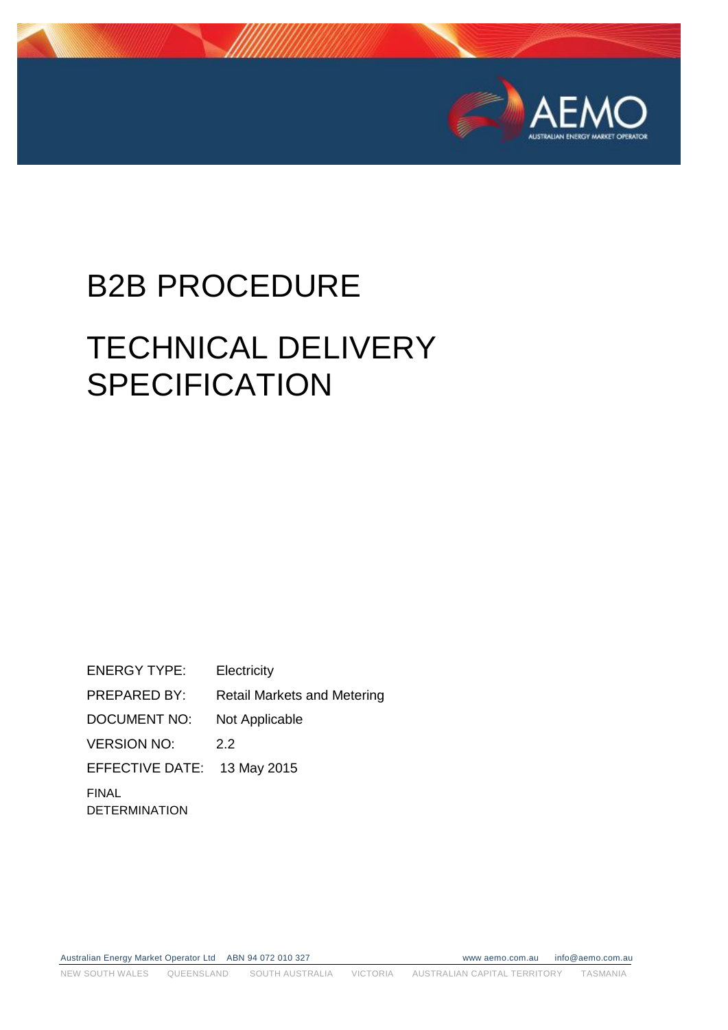

# B2B PROCEDURE

# TECHNICAL DELIVERY **SPECIFICATION**

ENERGY TYPE: Electricity PREPARED BY: Retail Markets and Metering DOCUMENT NO: Not Applicable VERSION NO: 2.2 EFFECTIVE DATE: 13 May 2015 FINAL DETERMINATION

Australian Energy Market Operator Ltd ABN 94 072 010 327 www aemo.com.au info@aemo.com.au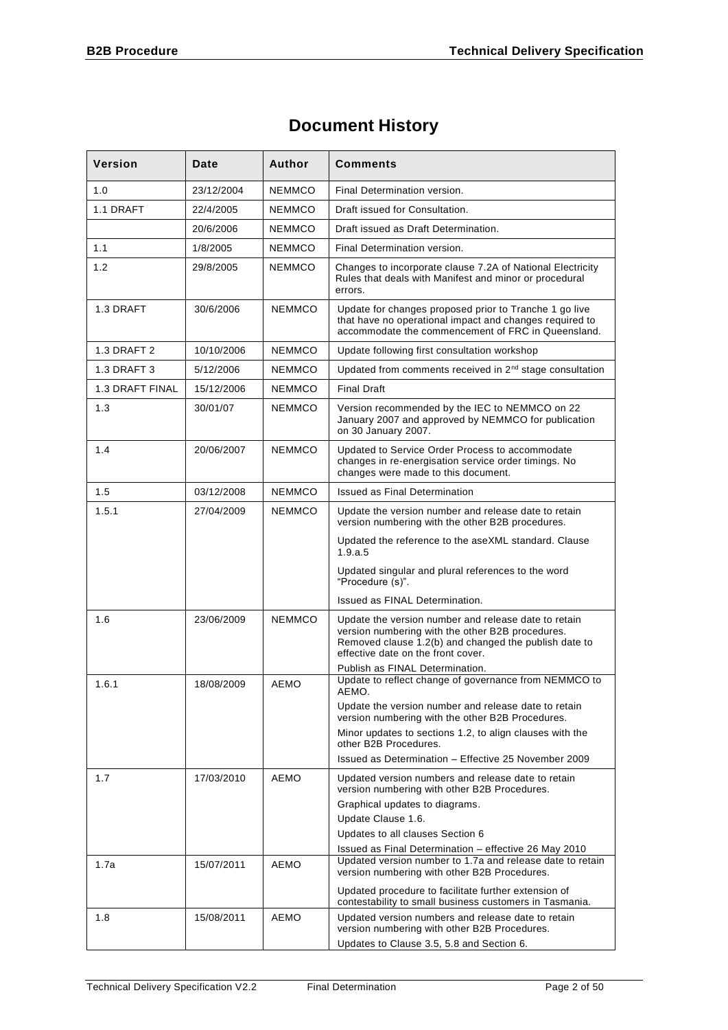# **Document History**

| <b>Version</b>         | Date       | Author        | <b>Comments</b>                                                                                                                                                                                         |  |
|------------------------|------------|---------------|---------------------------------------------------------------------------------------------------------------------------------------------------------------------------------------------------------|--|
| 1.0                    | 23/12/2004 | <b>NEMMCO</b> | Final Determination version.                                                                                                                                                                            |  |
| 1.1 DRAFT              | 22/4/2005  | <b>NEMMCO</b> | Draft issued for Consultation.                                                                                                                                                                          |  |
|                        | 20/6/2006  | <b>NEMMCO</b> | Draft issued as Draft Determination.                                                                                                                                                                    |  |
| 1.1                    | 1/8/2005   | <b>NEMMCO</b> | Final Determination version.                                                                                                                                                                            |  |
| 1.2                    | 29/8/2005  | NEMMCO        | Changes to incorporate clause 7.2A of National Electricity<br>Rules that deals with Manifest and minor or procedural<br>errors.                                                                         |  |
| 1.3 DRAFT              | 30/6/2006  | <b>NEMMCO</b> | Update for changes proposed prior to Tranche 1 go live<br>that have no operational impact and changes required to<br>accommodate the commencement of FRC in Queensland.                                 |  |
| 1.3 DRAFT 2            | 10/10/2006 | NEMMCO        | Update following first consultation workshop                                                                                                                                                            |  |
| 1.3 DRAFT 3            | 5/12/2006  | NEMMCO        | Updated from comments received in 2 <sup>nd</sup> stage consultation                                                                                                                                    |  |
| <b>1.3 DRAFT FINAL</b> | 15/12/2006 | <b>NFMMCO</b> | <b>Final Draft</b>                                                                                                                                                                                      |  |
| 1.3                    | 30/01/07   | NEMMCO        | Version recommended by the IEC to NEMMCO on 22<br>January 2007 and approved by NEMMCO for publication<br>on 30 January 2007.                                                                            |  |
| 1.4                    | 20/06/2007 | NEMMCO        | Updated to Service Order Process to accommodate<br>changes in re-energisation service order timings. No<br>changes were made to this document.                                                          |  |
| 1.5                    | 03/12/2008 | <b>NFMMCO</b> | <b>Issued as Final Determination</b>                                                                                                                                                                    |  |
| 1.5.1                  | 27/04/2009 | <b>NEMMCO</b> | Update the version number and release date to retain<br>version numbering with the other B2B procedures.                                                                                                |  |
|                        |            |               | Updated the reference to the aseXML standard. Clause<br>1.9.a.5                                                                                                                                         |  |
|                        |            |               | Updated singular and plural references to the word<br>"Procedure (s)".                                                                                                                                  |  |
|                        |            |               | Issued as FINAL Determination.                                                                                                                                                                          |  |
| 1.6                    | 23/06/2009 | <b>NEMMCO</b> | Update the version number and release date to retain<br>version numbering with the other B2B procedures.<br>Removed clause 1.2(b) and changed the publish date to<br>effective date on the front cover. |  |
|                        |            |               | Publish as FINAL Determination.<br>Update to reflect change of governance from NEMMCO to                                                                                                                |  |
| 1.6.1                  | 18/08/2009 | <b>AEMO</b>   | AEMO.                                                                                                                                                                                                   |  |
|                        |            |               | Update the version number and release date to retain<br>version numbering with the other B2B Procedures.                                                                                                |  |
|                        |            |               | Minor updates to sections 1.2, to align clauses with the<br>other B2B Procedures.                                                                                                                       |  |
|                        |            |               | Issued as Determination - Effective 25 November 2009                                                                                                                                                    |  |
| 1.7                    | 17/03/2010 | <b>AEMO</b>   | Updated version numbers and release date to retain<br>version numbering with other B2B Procedures.<br>Graphical updates to diagrams.                                                                    |  |
|                        |            |               | Update Clause 1.6.                                                                                                                                                                                      |  |
|                        |            |               | Updates to all clauses Section 6<br>Issued as Final Determination - effective 26 May 2010                                                                                                               |  |
| 1.7a                   | 15/07/2011 | AEMO          | Updated version number to 1.7a and release date to retain<br>version numbering with other B2B Procedures.                                                                                               |  |
|                        |            |               | Updated procedure to facilitate further extension of<br>contestability to small business customers in Tasmania.                                                                                         |  |
| 1.8                    | 15/08/2011 | AEMO          | Updated version numbers and release date to retain<br>version numbering with other B2B Procedures.<br>Updates to Clause 3.5, 5.8 and Section 6.                                                         |  |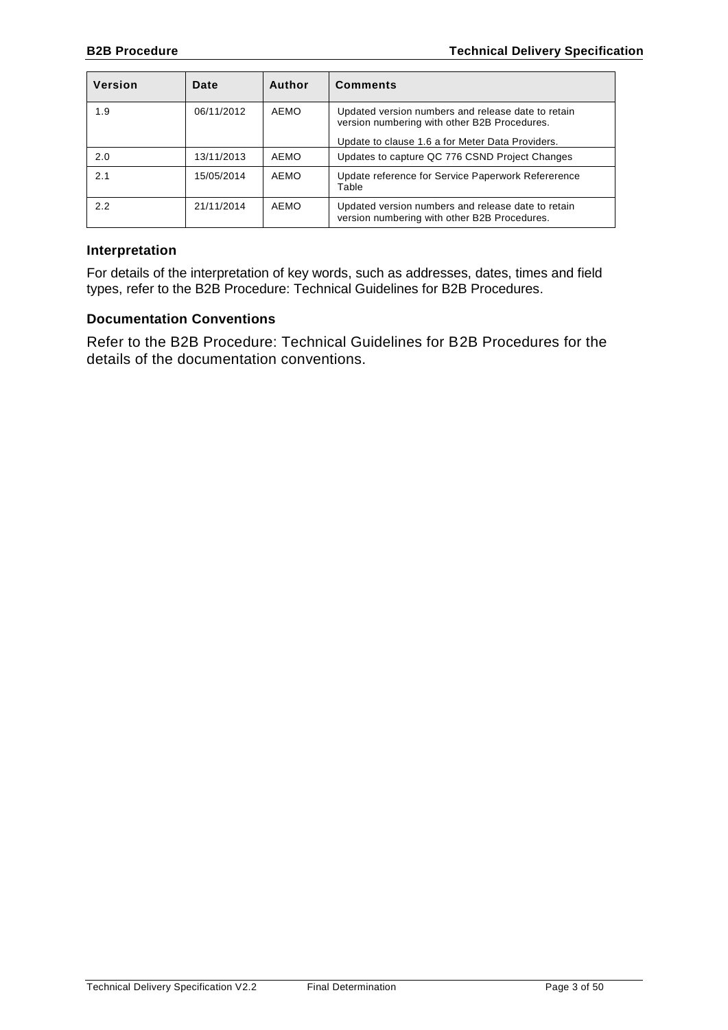| <b>Version</b> | Date       | Author | <b>Comments</b>                                                                                    |
|----------------|------------|--------|----------------------------------------------------------------------------------------------------|
| 1.9            | 06/11/2012 | AEMO   | Updated version numbers and release date to retain<br>version numbering with other B2B Procedures. |
|                |            |        | Update to clause 1.6 a for Meter Data Providers.                                                   |
| 2.0            | 13/11/2013 | AEMO   | Updates to capture QC 776 CSND Project Changes                                                     |
| 2.1            | 15/05/2014 | AEMO   | Update reference for Service Paperwork Refererence<br>Table                                        |
| 2.2            | 21/11/2014 | AEMO   | Updated version numbers and release date to retain<br>version numbering with other B2B Procedures. |

#### **Interpretation**

For details of the interpretation of key words, such as addresses, dates, times and field types, refer to the B2B Procedure: Technical Guidelines for B2B Procedures.

#### **Documentation Conventions**

Refer to the B2B Procedure: Technical Guidelines for B2B Procedures for the details of the documentation conventions.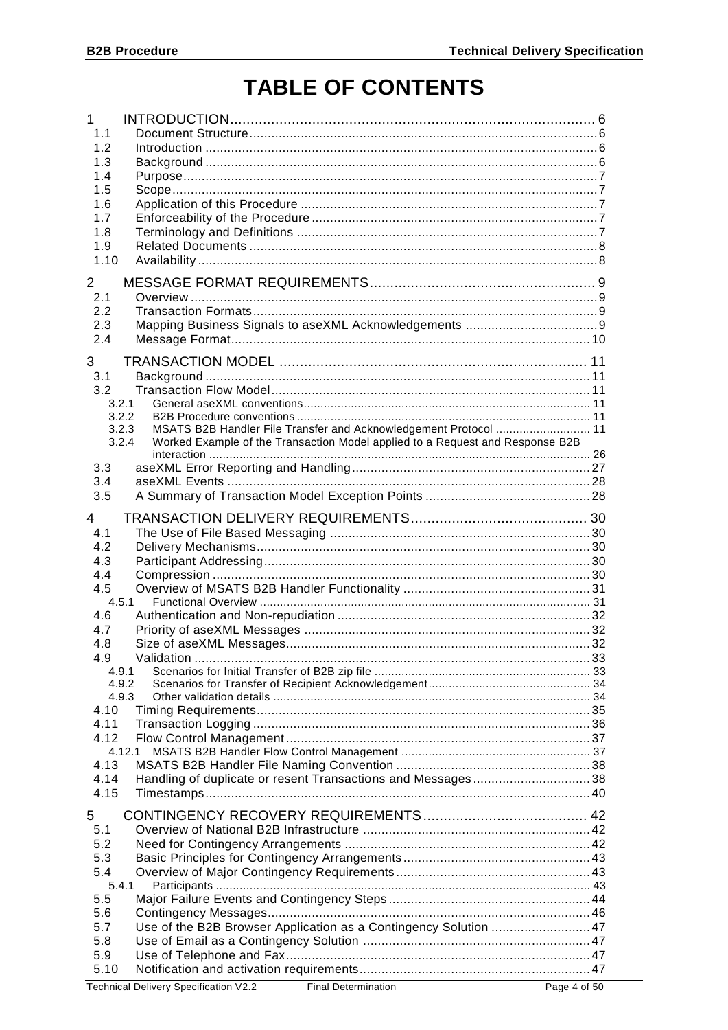# **TABLE OF CONTENTS**

| $\mathbf 1$<br>1.1<br>1.2<br>1.3<br>1.4<br>1.5<br>1.6<br>1.7<br>1.8<br>1.9<br>1.10<br>$\mathbf{2}^{\prime}$                                                                                                                               |  |
|-------------------------------------------------------------------------------------------------------------------------------------------------------------------------------------------------------------------------------------------|--|
| 2.1<br>2.2<br>2.3<br>2.4                                                                                                                                                                                                                  |  |
| 3<br>3.1<br>3.2<br>3.2.1<br>3.2.2<br>MSATS B2B Handler File Transfer and Acknowledgement Protocol  11<br>3.2.3<br>Worked Example of the Transaction Model applied to a Request and Response B2B<br>3.2.4<br>3.3<br>3.4                    |  |
| 3.5<br>4<br>4.1<br>4.2<br>4.3<br>4.4<br>4.5<br>4.5.1<br>4.6<br>4.7<br>4.8<br>4.9<br>4.9.1<br>4.9.2<br>4.9.3<br>4.10<br>4.11<br>4.12<br>4.12.1<br>4.13<br>Handling of duplicate or resent Transactions and Messages38<br>4.14<br>4.15<br>5 |  |
| 5.1<br>5.2<br>5.3<br>5.4<br>5.4.1<br>5.5<br>5.6<br>Use of the B2B Browser Application as a Contingency Solution  47<br>5.7<br>5.8<br>5.9<br>5.10                                                                                          |  |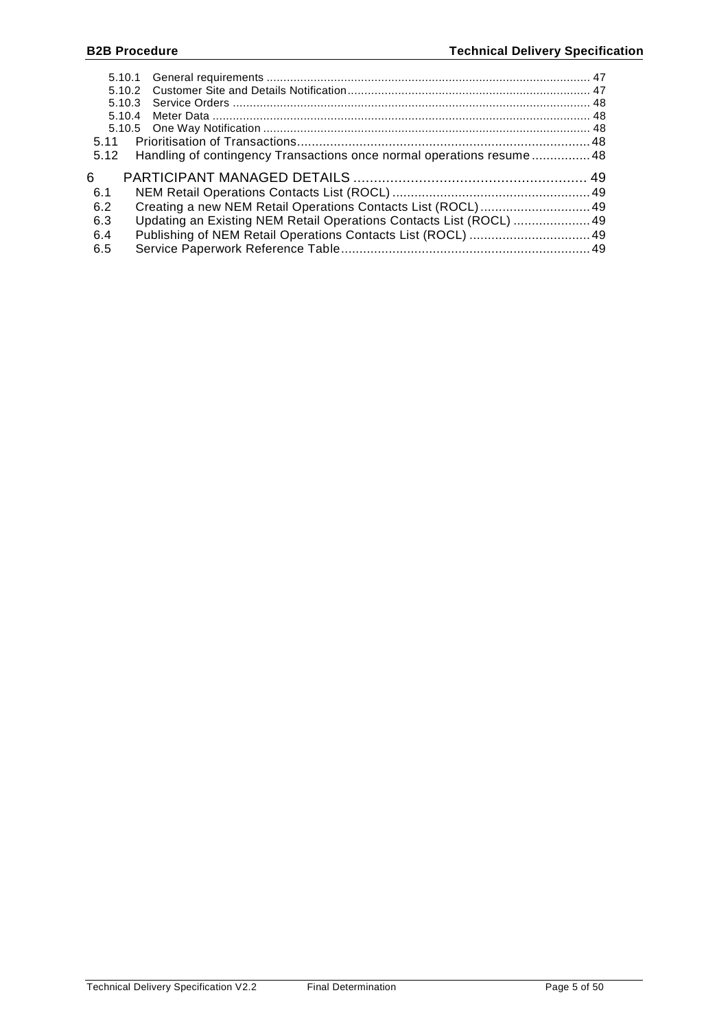| 5.11 |                                                                       |  |
|------|-----------------------------------------------------------------------|--|
| 5.12 | Handling of contingency Transactions once normal operations resume 48 |  |
|      |                                                                       |  |
| 6    |                                                                       |  |
| -6.1 |                                                                       |  |
| 6.2  |                                                                       |  |
| 6.3  |                                                                       |  |
| 6.4  | Updating an Existing NEM Retail Operations Contacts List (ROCL)  49   |  |
| 6.5  |                                                                       |  |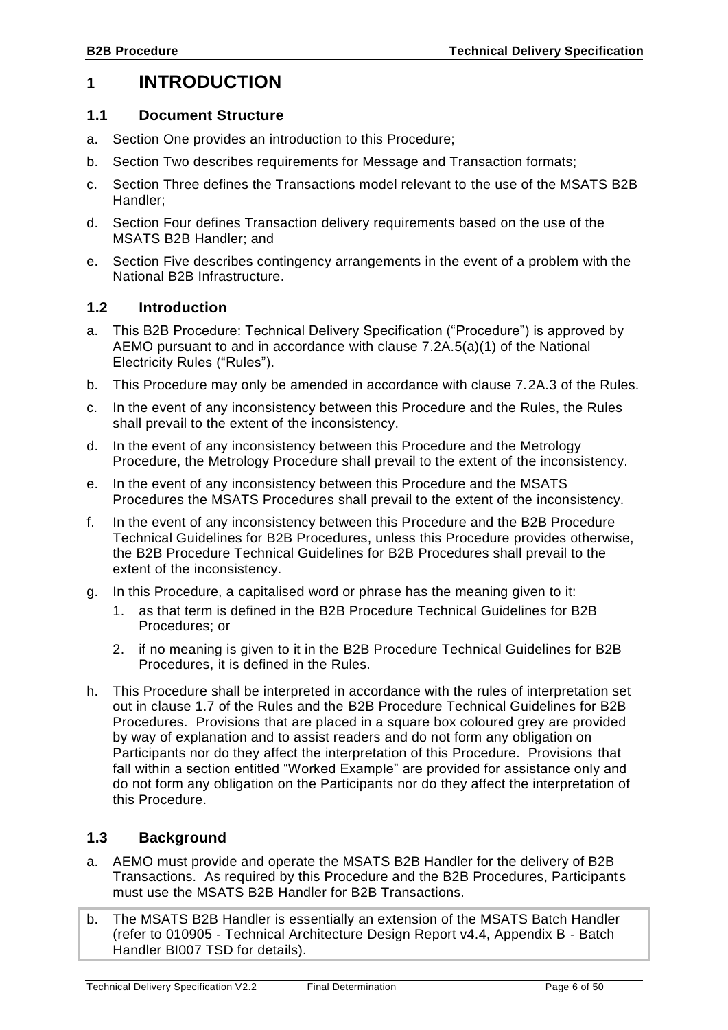# <span id="page-5-0"></span>**1 INTRODUCTION**

#### <span id="page-5-1"></span>**1.1 Document Structure**

- a. Section One provides an introduction to this Procedure;
- b. Section Two describes requirements for Message and Transaction formats;
- c. Section Three defines the Transactions model relevant to the use of the MSATS B2B Handler;
- d. Section Four defines Transaction delivery requirements based on the use of the MSATS B2B Handler; and
- e. Section Five describes contingency arrangements in the event of a problem with the National B2B Infrastructure.

#### <span id="page-5-2"></span>**1.2 Introduction**

- a. This B2B Procedure: Technical Delivery Specification ("Procedure") is approved by AEMO pursuant to and in accordance with clause 7.2A.5(a)(1) of the National Electricity Rules ("Rules").
- b. This Procedure may only be amended in accordance with clause 7.2A.3 of the Rules.
- c. In the event of any inconsistency between this Procedure and the Rules, the Rules shall prevail to the extent of the inconsistency.
- d. In the event of any inconsistency between this Procedure and the Metrology Procedure, the Metrology Procedure shall prevail to the extent of the inconsistency.
- e. In the event of any inconsistency between this Procedure and the MSATS Procedures the MSATS Procedures shall prevail to the extent of the inconsistency.
- f. In the event of any inconsistency between this Procedure and the B2B Procedure Technical Guidelines for B2B Procedures, unless this Procedure provides otherwise, the B2B Procedure Technical Guidelines for B2B Procedures shall prevail to the extent of the inconsistency.
- g. In this Procedure, a capitalised word or phrase has the meaning given to it:
	- 1. as that term is defined in the B2B Procedure Technical Guidelines for B2B Procedures; or
	- 2. if no meaning is given to it in the B2B Procedure Technical Guidelines for B2B Procedures, it is defined in the Rules.
- h. This Procedure shall be interpreted in accordance with the rules of interpretation set out in clause 1.7 of the Rules and the B2B Procedure Technical Guidelines for B2B Procedures. Provisions that are placed in a square box coloured grey are provided by way of explanation and to assist readers and do not form any obligation on Participants nor do they affect the interpretation of this Procedure. Provisions that fall within a section entitled "Worked Example" are provided for assistance only and do not form any obligation on the Participants nor do they affect the interpretation of this Procedure.

## <span id="page-5-3"></span>**1.3 Background**

- a. AEMO must provide and operate the MSATS B2B Handler for the delivery of B2B Transactions. As required by this Procedure and the B2B Procedures, Participants must use the MSATS B2B Handler for B2B Transactions.
- b. The MSATS B2B Handler is essentially an extension of the MSATS Batch Handler (refer to 010905 - Technical Architecture Design Report v4.4, Appendix B - Batch Handler BI007 TSD for details).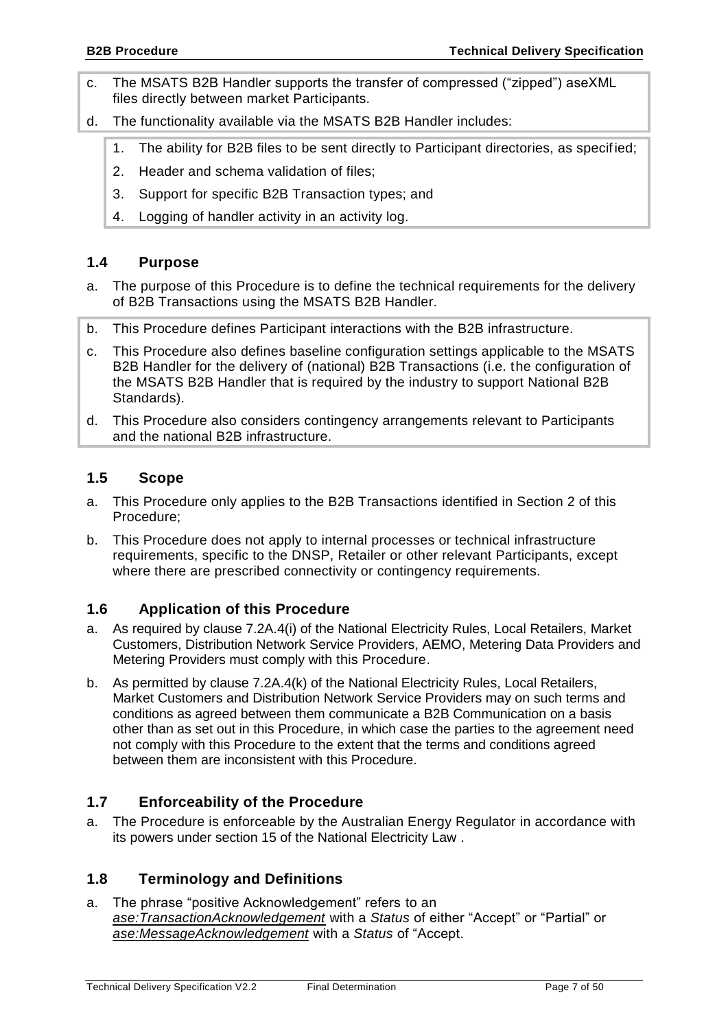- c. The MSATS B2B Handler supports the transfer of compressed ("zipped") aseXML files directly between market Participants.
- d. The functionality available via the MSATS B2B Handler includes:
	- 1. The ability for B2B files to be sent directly to Participant directories, as specified;
	- 2. Header and schema validation of files;
	- 3. Support for specific B2B Transaction types; and
	- 4. Logging of handler activity in an activity log.

# <span id="page-6-0"></span>**1.4 Purpose**

- a. The purpose of this Procedure is to define the technical requirements for the delivery of B2B Transactions using the MSATS B2B Handler.
- b. This Procedure defines Participant interactions with the B2B infrastructure.
- c. This Procedure also defines baseline configuration settings applicable to the MSATS B2B Handler for the delivery of (national) B2B Transactions (i.e. the configuration of the MSATS B2B Handler that is required by the industry to support National B2B Standards).
- d. This Procedure also considers contingency arrangements relevant to Participants and the national B2B infrastructure.

# <span id="page-6-1"></span>**1.5 Scope**

- a. This Procedure only applies to the B2B Transactions identified in Section 2 of this Procedure;
- b. This Procedure does not apply to internal processes or technical infrastructure requirements, specific to the DNSP, Retailer or other relevant Participants, except where there are prescribed connectivity or contingency requirements.

# <span id="page-6-2"></span>**1.6 Application of this Procedure**

- a. As required by clause 7.2A.4(i) of the National Electricity Rules, Local Retailers, Market Customers, Distribution Network Service Providers, AEMO, Metering Data Providers and Metering Providers must comply with this Procedure.
- b. As permitted by clause 7.2A.4(k) of the National Electricity Rules, Local Retailers, Market Customers and Distribution Network Service Providers may on such terms and conditions as agreed between them communicate a B2B Communication on a basis other than as set out in this Procedure, in which case the parties to the agreement need not comply with this Procedure to the extent that the terms and conditions agreed between them are inconsistent with this Procedure.

# <span id="page-6-3"></span>**1.7 Enforceability of the Procedure**

a. The Procedure is enforceable by the Australian Energy Regulator in accordance with its powers under section 15 of the National Electricity Law .

# <span id="page-6-4"></span>**1.8 Terminology and Definitions**

a. The phrase "positive Acknowledgement" refers to an *ase:TransactionAcknowledgement* with a *Status* of either "Accept" or "Partial" or *ase:MessageAcknowledgement* with a *Status* of "Accept.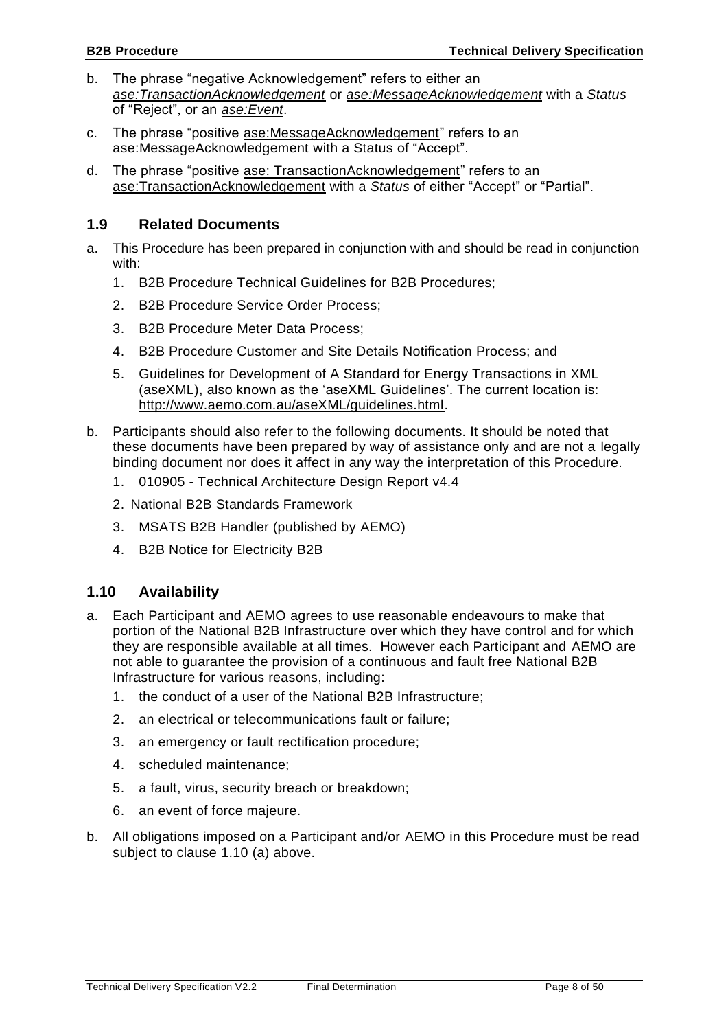- b. The phrase "negative Acknowledgement" refers to either an *ase:TransactionAcknowledgement* or *ase:MessageAcknowledgement* with a *Status* of "Reject", or an *ase:Event*.
- c. The phrase "positive ase:MessageAcknowledgement" refers to an ase:MessageAcknowledgement with a Status of "Accept".
- d. The phrase "positive ase: TransactionAcknowledgement" refers to an ase:TransactionAcknowledgement with a *Status* of either "Accept" or "Partial".

### <span id="page-7-0"></span>**1.9 Related Documents**

- a. This Procedure has been prepared in conjunction with and should be read in conjunction with:
	- 1. B2B Procedure Technical Guidelines for B2B Procedures;
	- 2. B2B Procedure Service Order Process;
	- 3. B2B Procedure Meter Data Process;
	- 4. B2B Procedure Customer and Site Details Notification Process; and
	- 5. Guidelines for Development of A Standard for Energy Transactions in XML (aseXML), also known as the 'aseXML Guidelines'. The current location is: [http://www.aemo.com.au/aseXML/guidelines.html.](http://www.aemo.com.au/aseXML/guidelines.html)
- b. Participants should also refer to the following documents. It should be noted that these documents have been prepared by way of assistance only and are not a legally binding document nor does it affect in any way the interpretation of this Procedure.
	- 1. 010905 Technical Architecture Design Report v4.4
	- 2. National B2B Standards Framework
	- 3. MSATS B2B Handler (published by AEMO)
	- 4. B2B Notice for Electricity B2B

# <span id="page-7-1"></span>**1.10 Availability**

- a. Each Participant and AEMO agrees to use reasonable endeavours to make that portion of the National B2B Infrastructure over which they have control and for which they are responsible available at all times. However each Participant and AEMO are not able to guarantee the provision of a continuous and fault free National B2B Infrastructure for various reasons, including:
	- 1. the conduct of a user of the National B2B Infrastructure;
	- 2. an electrical or telecommunications fault or failure;
	- 3. an emergency or fault rectification procedure;
	- 4. scheduled maintenance;
	- 5. a fault, virus, security breach or breakdown;
	- 6. an event of force majeure.
- b. All obligations imposed on a Participant and/or AEMO in this Procedure must be read subject to clause [1.10](#page-7-1) (a) above.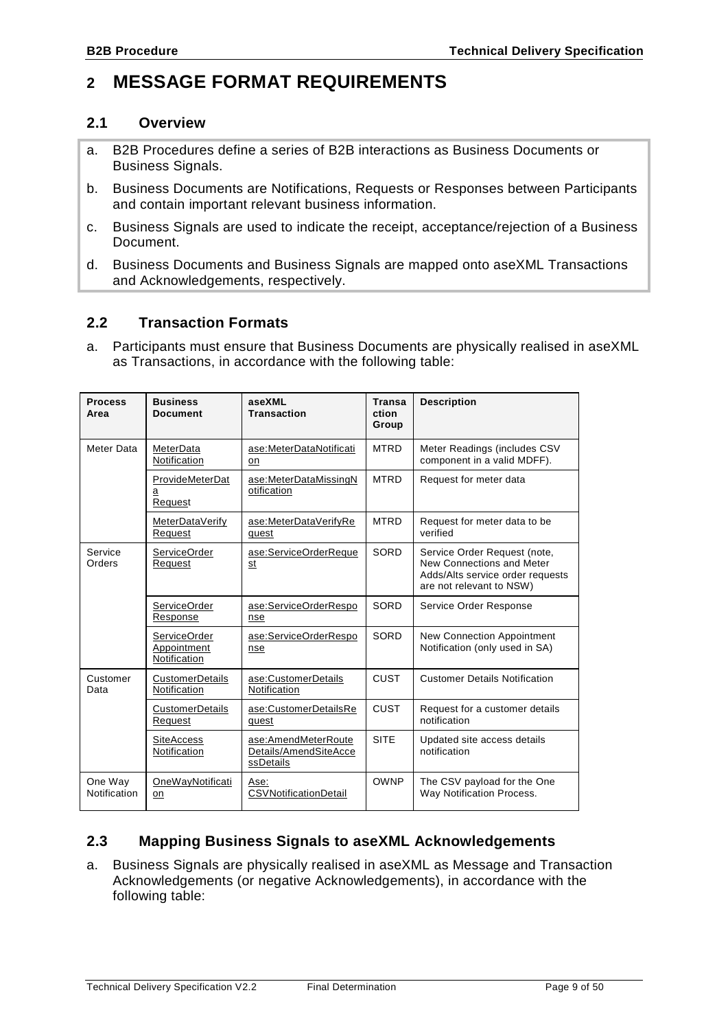# <span id="page-8-0"></span>**2 MESSAGE FORMAT REQUIREMENTS**

#### <span id="page-8-1"></span>**2.1 Overview**

- a. B2B Procedures define a series of B2B interactions as Business Documents or Business Signals.
- b. Business Documents are Notifications, Requests or Responses between Participants and contain important relevant business information.
- c. Business Signals are used to indicate the receipt, acceptance/rejection of a Business Document.
- d. Business Documents and Business Signals are mapped onto aseXML Transactions and Acknowledgements, respectively.

### <span id="page-8-2"></span>**2.2 Transaction Formats**

a. Participants must ensure that Business Documents are physically realised in aseXML as Transactions, in accordance with the following table:

| <b>Process</b><br>Area  | <b>Business</b><br><b>Document</b>                 | aseXML<br><b>Transaction</b>                              | <b>Transa</b><br>ction<br>Group | <b>Description</b>                                                                                                        |
|-------------------------|----------------------------------------------------|-----------------------------------------------------------|---------------------------------|---------------------------------------------------------------------------------------------------------------------------|
| Meter Data              | MeterData<br>Notification                          | ase:MeterDataNotificati<br>on                             | <b>MTRD</b>                     | Meter Readings (includes CSV<br>component in a valid MDFF).                                                               |
|                         | ProvideMeterDat<br>а<br>Request                    | ase:MeterDataMissingN<br>otification                      | <b>MTRD</b>                     | Request for meter data                                                                                                    |
|                         | MeterDataVerify<br>Request                         | ase:MeterDataVerifyRe<br>quest                            | <b>MTRD</b>                     | Request for meter data to be<br>verified                                                                                  |
| Service<br>Orders       | <b>ServiceOrder</b><br>Request                     | ase:ServiceOrderReque<br>st                               | SORD                            | Service Order Request (note,<br>New Connections and Meter<br>Adds/Alts service order requests<br>are not relevant to NSW) |
|                         | <b>ServiceOrder</b><br>Response                    | ase:ServiceOrderRespo<br>nse                              | SORD                            | Service Order Response                                                                                                    |
|                         | <b>ServiceOrder</b><br>Appointment<br>Notification | ase:ServiceOrderRespo<br>nse                              | SORD                            | <b>New Connection Appointment</b><br>Notification (only used in SA)                                                       |
| Customer<br>Data        | CustomerDetails<br>Notification                    | ase:CustomerDetails<br>Notification                       | CUST                            | <b>Customer Details Notification</b>                                                                                      |
|                         | <b>CustomerDetails</b><br>Request                  | ase:CustomerDetailsRe<br>quest                            | <b>CUST</b>                     | Request for a customer details<br>notification                                                                            |
|                         | <b>SiteAccess</b><br>Notification                  | ase:AmendMeterRoute<br>Details/AmendSiteAcce<br>ssDetails | <b>SITE</b>                     | Updated site access details<br>notification                                                                               |
| One Way<br>Notification | OneWayNotificati<br>on                             | Ase:<br>CSVNotificationDetail                             | <b>OWNP</b>                     | The CSV payload for the One<br>Way Notification Process.                                                                  |

# <span id="page-8-3"></span>**2.3 Mapping Business Signals to aseXML Acknowledgements**

a. Business Signals are physically realised in aseXML as Message and Transaction Acknowledgements (or negative Acknowledgements), in accordance with the following table: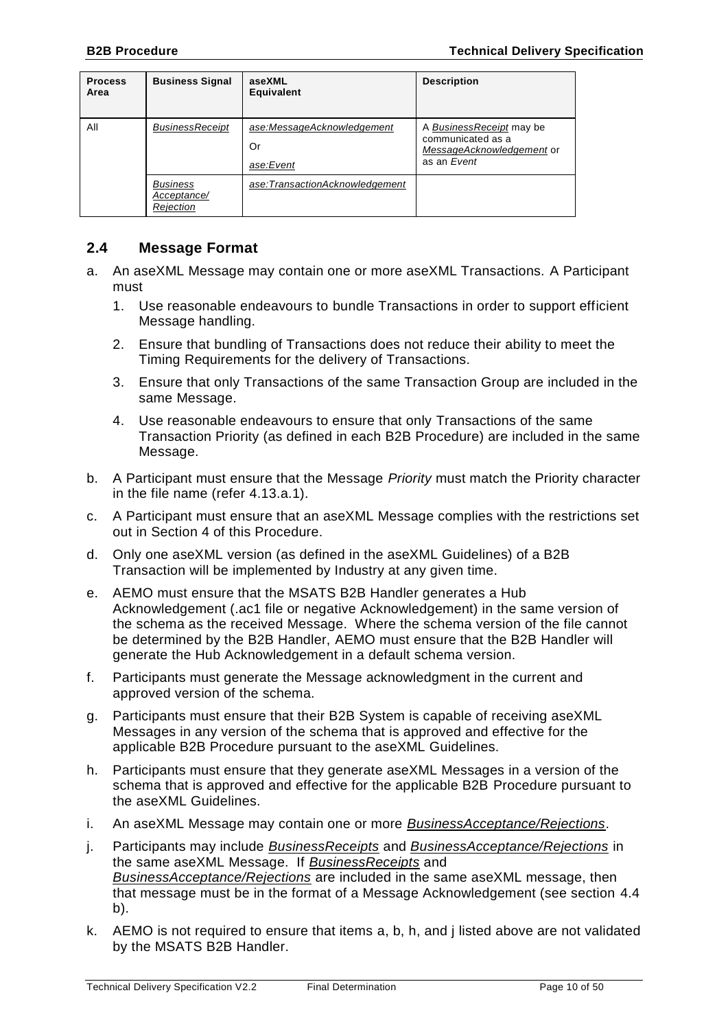| <b>Process</b><br>Area | <b>Business Signal</b>                      | aseXML<br>Equivalent                          | <b>Description</b>                                                                        |
|------------------------|---------------------------------------------|-----------------------------------------------|-------------------------------------------------------------------------------------------|
| All                    | <b>BusinessReceipt</b>                      | ase:MessageAcknowledgement<br>Or<br>ase:Event | A BusinessReceipt may be<br>communicated as a<br>MessageAcknowledgement or<br>as an Event |
|                        | <b>Business</b><br>Acceptance/<br>Rejection | ase:TransactionAcknowledgement                |                                                                                           |

### <span id="page-9-0"></span>**2.4 Message Format**

- <span id="page-9-1"></span>a. An aseXML Message may contain one or more aseXML Transactions. A Participant must
	- 1. Use reasonable endeavours to bundle Transactions in order to support efficient Message handling.
	- 2. Ensure that bundling of Transactions does not reduce their ability to meet the Timing Requirements for the delivery of Transactions.
	- 3. Ensure that only Transactions of the same Transaction Group are included in the same Message.
	- 4. Use reasonable endeavours to ensure that only Transactions of the same Transaction Priority (as defined in each B2B Procedure) are included in the same Message.
- <span id="page-9-2"></span>b. A Participant must ensure that the Message *Priority* must match the Priority character in the file name (refer [4.13](#page-37-0)[.a.](#page-37-2)[1\)](#page-37-3).
- c. A Participant must ensure that an aseXML Message complies with the restrictions set out in Section [4](#page-29-0) of this Procedure.
- d. Only one aseXML version (as defined in the aseXML Guidelines) of a B2B Transaction will be implemented by Industry at any given time.
- e. AEMO must ensure that the MSATS B2B Handler generates a Hub Acknowledgement (.ac1 file or negative Acknowledgement) in the same version of the schema as the received Message. Where the schema version of the file cannot be determined by the B2B Handler, AEMO must ensure that the B2B Handler will generate the Hub Acknowledgement in a default schema version.
- f. Participants must generate the Message acknowledgment in the current and approved version of the schema.
- g. Participants must ensure that their B2B System is capable of receiving aseXML Messages in any version of the schema that is approved and effective for the applicable B2B Procedure pursuant to the aseXML Guidelines.
- <span id="page-9-3"></span>h. Participants must ensure that they generate aseXML Messages in a version of the schema that is approved and effective for the applicable B2B Procedure pursuant to the aseXML Guidelines.
- i. An aseXML Message may contain one or more *BusinessAcceptance/Rejections*.
- <span id="page-9-4"></span>j. Participants may include *BusinessReceipts* and *BusinessAcceptance/Rejections* in the same aseXML Message. If *BusinessReceipts* and *BusinessAcceptance/Rejections* are included in the same aseXML message, then that message must be in the format of a Message Acknowledgement (see section [4.4](#page-29-4) [b\)](#page-30-2).
- k. AEMO is not required to ensure that items [a,](#page-9-1) [b,](#page-9-2) [h,](#page-9-3) and [j](#page-9-4) listed above are not validated by the MSATS B2B Handler.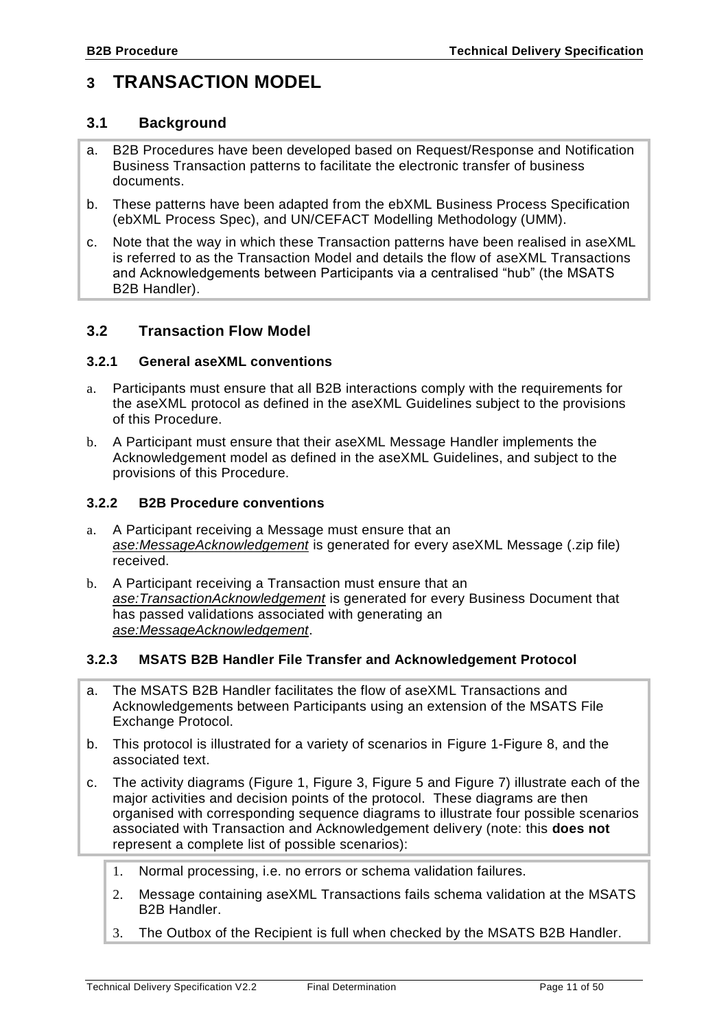# <span id="page-10-0"></span>**3 TRANSACTION MODEL**

#### <span id="page-10-1"></span>**3.1 Background**

- a. B2B Procedures have been developed based on Request/Response and Notification Business Transaction patterns to facilitate the electronic transfer of business documents.
- b. These patterns have been adapted from the ebXML Business Process Specification (ebXML Process Spec), and UN/CEFACT Modelling Methodology (UMM).
- c. Note that the way in which these Transaction patterns have been realised in aseXML is referred to as the Transaction Model and details the flow of aseXML Transactions and Acknowledgements between Participants via a centralised "hub" (the MSATS B2B Handler).

### <span id="page-10-2"></span>**3.2 Transaction Flow Model**

#### <span id="page-10-3"></span>**3.2.1 General aseXML conventions**

- a. Participants must ensure that all B2B interactions comply with the requirements for the aseXML protocol as defined in the aseXML Guidelines subject to the provisions of this Procedure.
- b. A Participant must ensure that their aseXML Message Handler implements the Acknowledgement model as defined in the aseXML Guidelines, and subject to the provisions of this Procedure.

#### <span id="page-10-4"></span>**3.2.2 B2B Procedure conventions**

- a. A Participant receiving a Message must ensure that an *ase:MessageAcknowledgement* is generated for every aseXML Message (.zip file) received.
- b. A Participant receiving a Transaction must ensure that an *ase:TransactionAcknowledgement* is generated for every Business Document that has passed validations associated with generating an *ase:MessageAcknowledgement*.

#### <span id="page-10-5"></span>**3.2.3 MSATS B2B Handler File Transfer and Acknowledgement Protocol**

- a. The MSATS B2B Handler facilitates the flow of aseXML Transactions and Acknowledgements between Participants using an extension of the MSATS File Exchange Protocol.
- b. This protocol is illustrated for a variety of scenarios in [Figure 1](#page-12-0)[-Figure 8,](#page-24-0) and the associated text.
- c. The activity diagrams [\(Figure 1,](#page-12-0) [Figure 3,](#page-17-0) [Figure 5](#page-20-0) and [Figure 7\)](#page-23-0) illustrate each of the major activities and decision points of the protocol. These diagrams are then organised with corresponding sequence diagrams to illustrate four possible scenarios associated with Transaction and Acknowledgement delivery (note: this **does not** represent a complete list of possible scenarios):
	- 1. Normal processing, i.e. no errors or schema validation failures.
	- 2. Message containing aseXML Transactions fails schema validation at the MSATS B2B Handler.
	- 3. The Outbox of the Recipient is full when checked by the MSATS B2B Handler.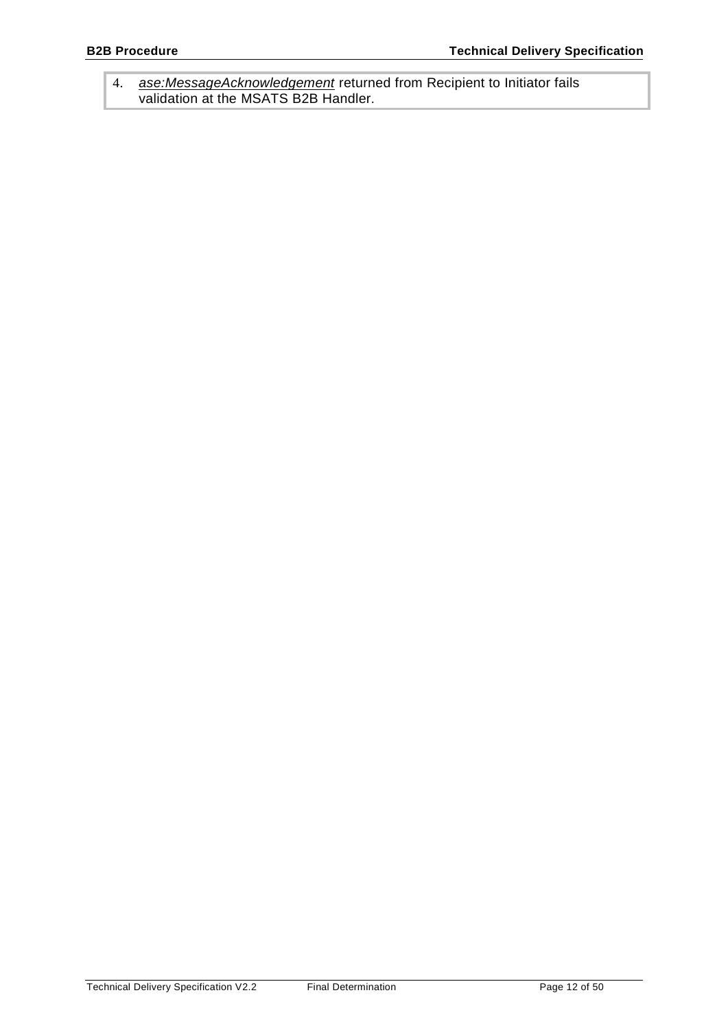4. *ase:MessageAcknowledgement* returned from Recipient to Initiator fails validation at the MSATS B2B Handler.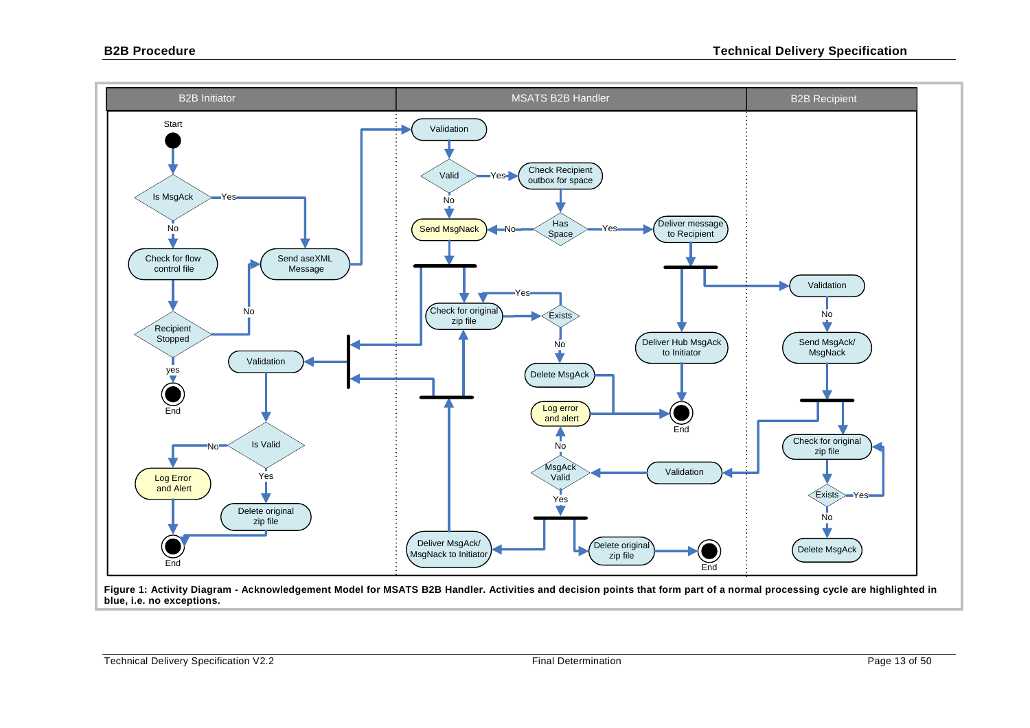

<span id="page-12-0"></span>**Figure 1: Activity Diagram - Acknowledgement Model for MSATS B2B Handler. Activities and decision points that form part of a normal processing cycle are highlighted in blue, i.e. no exceptions.**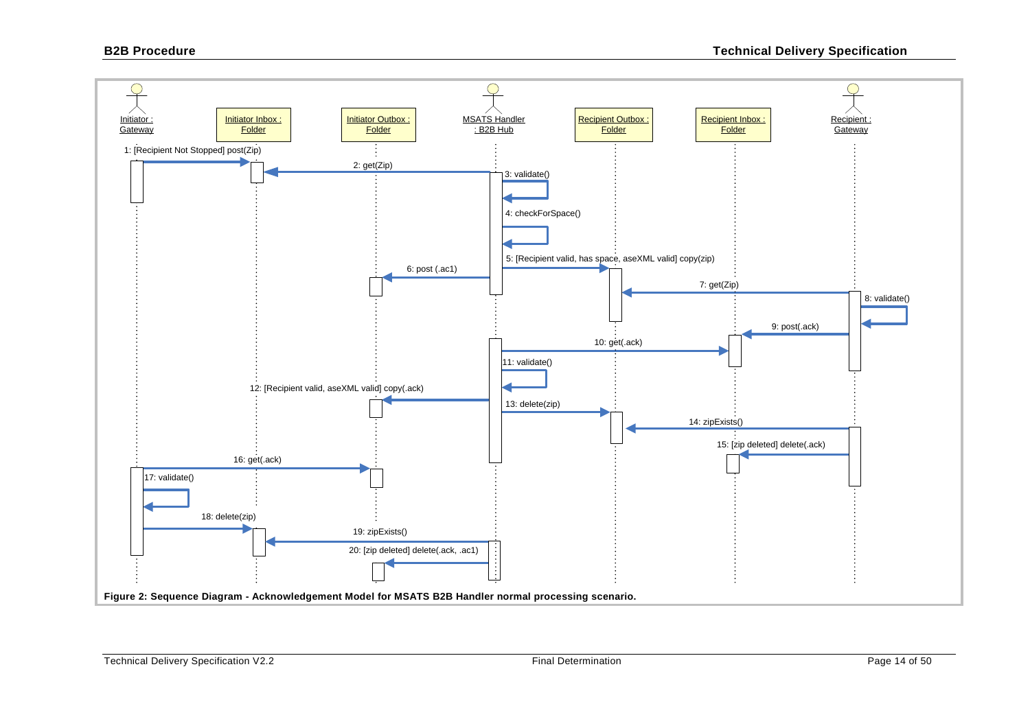<span id="page-13-0"></span>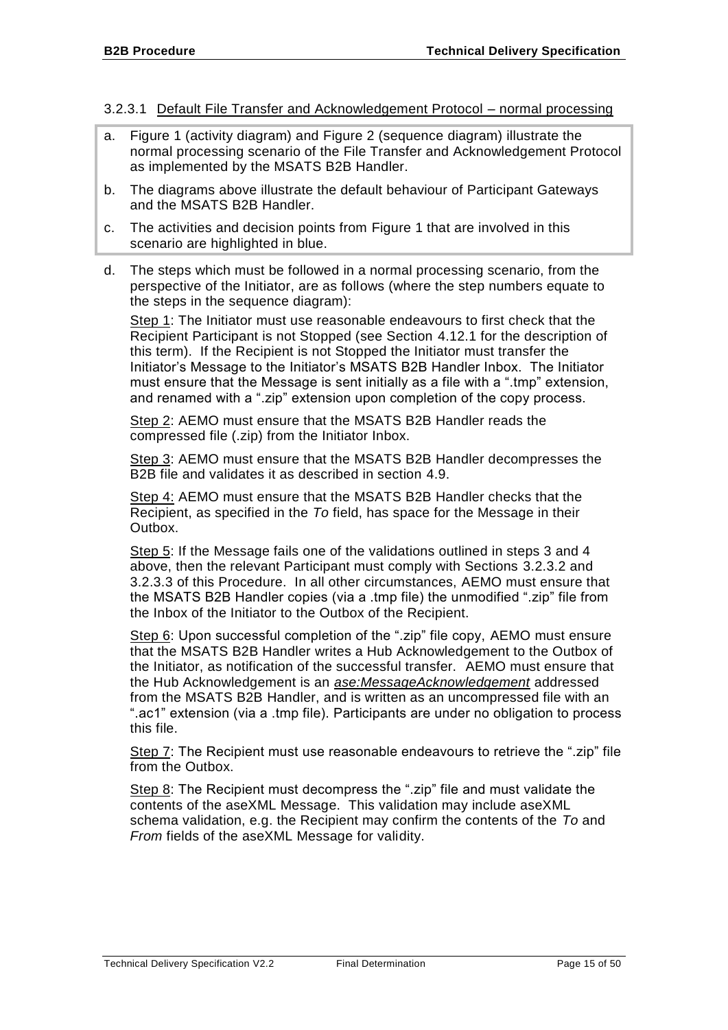#### <span id="page-14-0"></span>3.2.3.1 Default File Transfer and Acknowledgement Protocol – normal processing

- a. [Figure 1](#page-12-0) (activity diagram) and [Figure 2](#page-13-0) (sequence diagram) illustrate the normal processing scenario of the File Transfer and Acknowledgement Protocol as implemented by the MSATS B2B Handler.
- b. The diagrams above illustrate the default behaviour of Participant Gateways and the MSATS B2B Handler.
- c. The activities and decision points from [Figure 1](#page-12-0) that are involved in this scenario are highlighted in blue.
- d. The steps which must be followed in a normal processing scenario, from the perspective of the Initiator, are as follows (where the step numbers equate to the steps in the sequence diagram):

Step 1: The Initiator must use reasonable endeavours to first check that the Recipient Participant is not Stopped (see Section [4.12.1](#page-36-1) for the description of this term). If the Recipient is not Stopped the Initiator must transfer the Initiator's Message to the Initiator's MSATS B2B Handler Inbox. The Initiator must ensure that the Message is sent initially as a file with a ".tmp" extension, and renamed with a ".zip" extension upon completion of the copy process.

Step 2: AEMO must ensure that the MSATS B2B Handler reads the compressed file (.zip) from the Initiator Inbox.

Step 3: AEMO must ensure that the MSATS B2B Handler decompresses the B2B file and validates it as described in section [4.9.](#page-32-0)

Step 4: AEMO must ensure that the MSATS B2B Handler checks that the Recipient, as specified in the *To* field, has space for the Message in their Outbox.

Step 5: If the Message fails one of the validations outlined in steps 3 and 4 above, then the relevant Participant must comply with Sections [3.2.3.2](#page-17-1) and [3.2.3.3](#page-20-1) of this Procedure. In all other circumstances, AEMO must ensure that the MSATS B2B Handler copies (via a .tmp file) the unmodified ".zip" file from the Inbox of the Initiator to the Outbox of the Recipient.

Step 6: Upon successful completion of the ".zip" file copy, AEMO must ensure that the MSATS B2B Handler writes a Hub Acknowledgement to the Outbox of the Initiator, as notification of the successful transfer. AEMO must ensure that the Hub Acknowledgement is an *ase:MessageAcknowledgement* addressed from the MSATS B2B Handler, and is written as an uncompressed file with an ".ac1" extension (via a .tmp file). Participants are under no obligation to process this file.

Step 7: The Recipient must use reasonable endeavours to retrieve the ".zip" file from the Outbox.

Step 8: The Recipient must decompress the ".zip" file and must validate the contents of the aseXML Message. This validation may include aseXML schema validation, e.g. the Recipient may confirm the contents of the *To* and *From* fields of the aseXML Message for validity.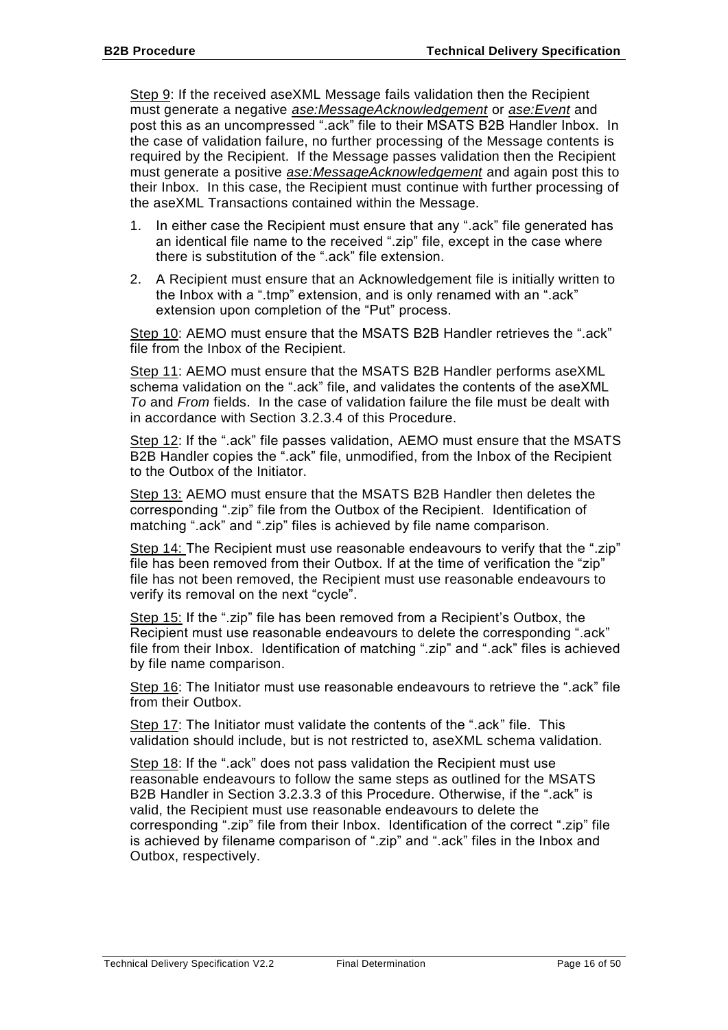Step 9: If the received aseXML Message fails validation then the Recipient must generate a negative *ase:MessageAcknowledgement* or *ase:Event* and post this as an uncompressed ".ack" file to their MSATS B2B Handler Inbox. In the case of validation failure, no further processing of the Message contents is required by the Recipient. If the Message passes validation then the Recipient must generate a positive *ase:MessageAcknowledgement* and again post this to their Inbox. In this case, the Recipient must continue with further processing of the aseXML Transactions contained within the Message.

- 1. In either case the Recipient must ensure that any ".ack" file generated has an identical file name to the received ".zip" file, except in the case where there is substitution of the ".ack" file extension.
- 2. A Recipient must ensure that an Acknowledgement file is initially written to the Inbox with a ".tmp" extension, and is only renamed with an ".ack" extension upon completion of the "Put" process.

Step 10: AEMO must ensure that the MSATS B2B Handler retrieves the ".ack" file from the Inbox of the Recipient.

Step 11: AEMO must ensure that the MSATS B2B Handler performs aseXML schema validation on the ".ack" file, and validates the contents of the aseXML *To* and *From* fields. In the case of validation failure the file must be dealt with in accordance with Section [3.2.3.4](#page-23-1) of this Procedure.

Step 12: If the ".ack" file passes validation, AEMO must ensure that the MSATS B2B Handler copies the ".ack" file, unmodified, from the Inbox of the Recipient to the Outbox of the Initiator.

Step 13: AEMO must ensure that the MSATS B2B Handler then deletes the corresponding ".zip" file from the Outbox of the Recipient. Identification of matching ".ack" and ".zip" files is achieved by file name comparison.

Step 14: The Recipient must use reasonable endeavours to verify that the ".zip" file has been removed from their Outbox. If at the time of verification the "zip" file has not been removed, the Recipient must use reasonable endeavours to verify its removal on the next "cycle".

Step 15: If the ".zip" file has been removed from a Recipient's Outbox, the Recipient must use reasonable endeavours to delete the corresponding ".ack" file from their Inbox. Identification of matching ".zip" and ".ack" files is achieved by file name comparison.

Step 16: The Initiator must use reasonable endeavours to retrieve the ".ack" file from their Outbox.

Step 17: The Initiator must validate the contents of the ".ack" file. This validation should include, but is not restricted to, aseXML schema validation.

Step 18: If the ".ack" does not pass validation the Recipient must use reasonable endeavours to follow the same steps as outlined for the MSATS B2B Handler in Section [3.2.3.3](#page-20-1) of this Procedure. Otherwise, if the ".ack" is valid, the Recipient must use reasonable endeavours to delete the corresponding ".zip" file from their Inbox. Identification of the correct ".zip" file is achieved by filename comparison of ".zip" and ".ack" files in the Inbox and Outbox, respectively.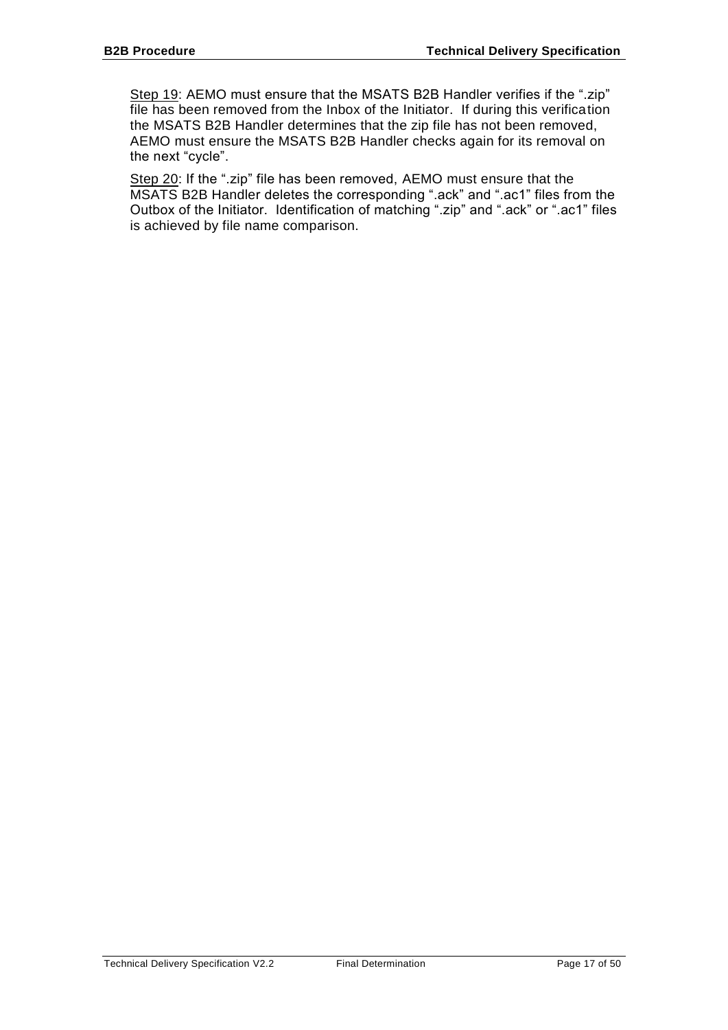Step 19: AEMO must ensure that the MSATS B2B Handler verifies if the ".zip" file has been removed from the Inbox of the Initiator. If during this verification the MSATS B2B Handler determines that the zip file has not been removed, AEMO must ensure the MSATS B2B Handler checks again for its removal on the next "cycle".

Step 20: If the ".zip" file has been removed, AEMO must ensure that the MSATS B2B Handler deletes the corresponding ".ack" and ".ac1" files from the Outbox of the Initiator. Identification of matching ".zip" and ".ack" or ".ac1" files is achieved by file name comparison.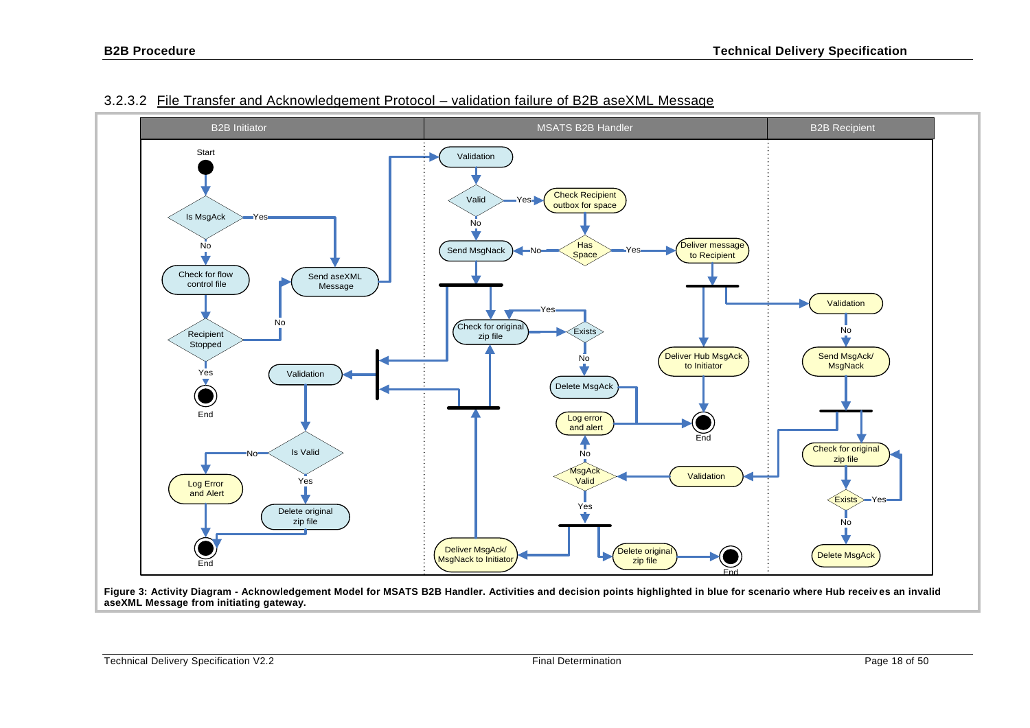

#### 3.2.3.2 File Transfer and Acknowledgement Protocol – validation failure of B2B aseXML Message

<span id="page-17-1"></span><span id="page-17-0"></span>**Figure 3: Activity Diagram - Acknowledgement Model for MSATS B2B Handler. Activities and decision points highlighted in blue for scenario where Hub receiv es an invalid aseXML Message from initiating gateway.**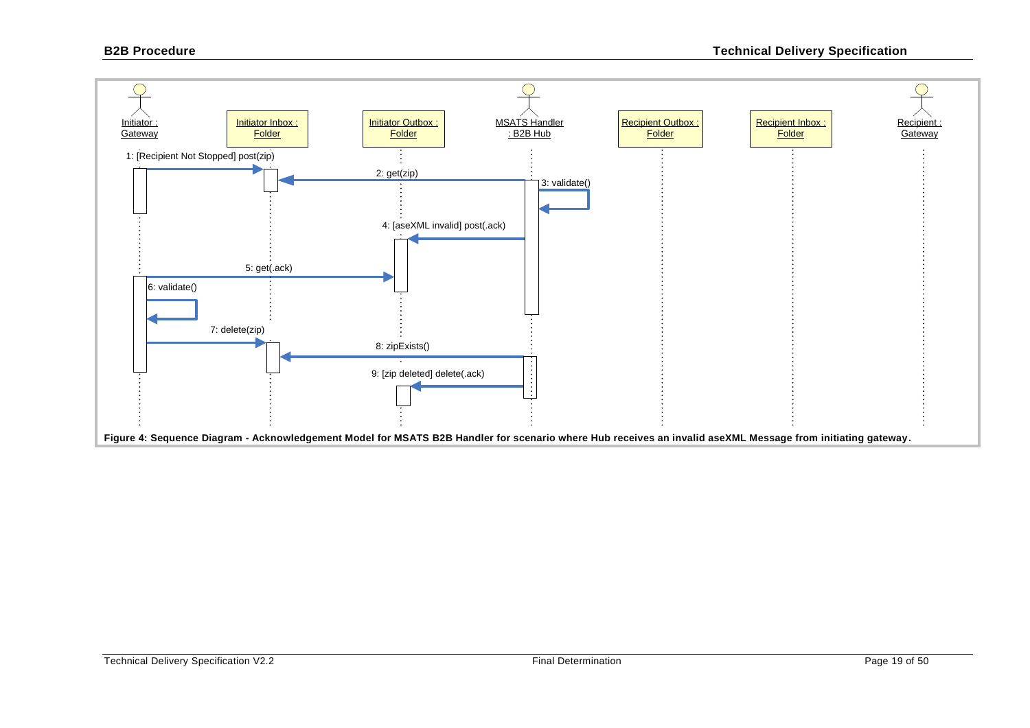<span id="page-18-0"></span>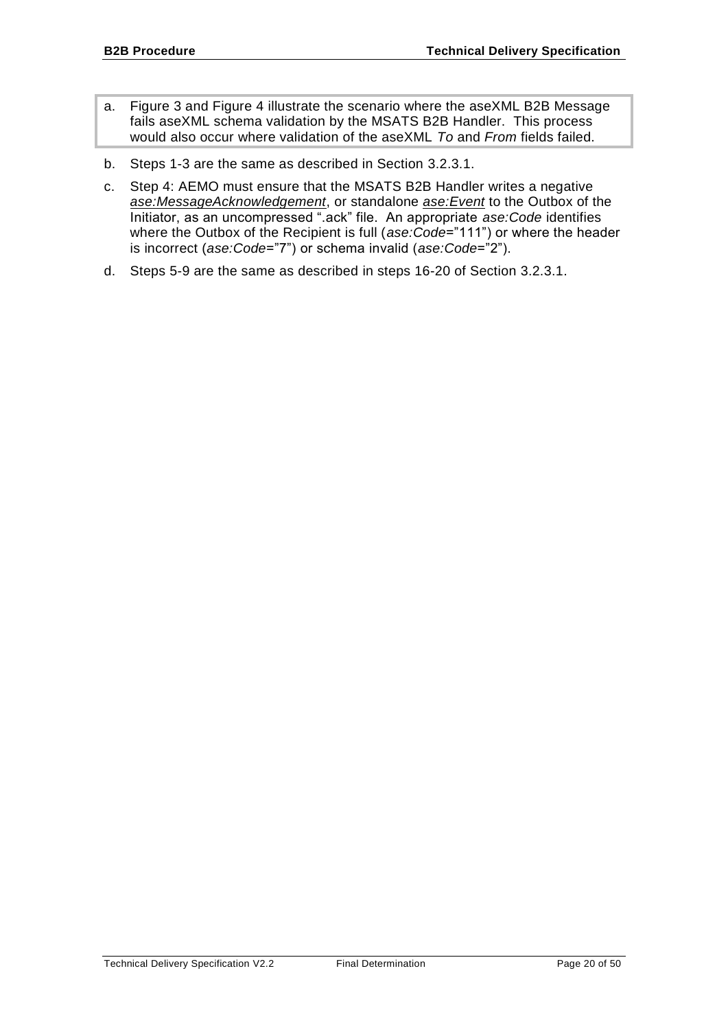- a. [Figure 3](#page-17-0) and [Figure 4](#page-18-0) illustrate the scenario where the aseXML B2B Message fails aseXML schema validation by the MSATS B2B Handler. This process would also occur where validation of the aseXML *To* and *From* fields failed.
- b. Steps 1-3 are the same as described in Section [3.2.3.1.](#page-14-0)
- c. Step 4: AEMO must ensure that the MSATS B2B Handler writes a negative *ase:MessageAcknowledgement*, or standalone *ase:Event* to the Outbox of the Initiator, as an uncompressed ".ack" file. An appropriate *ase:Code* identifies where the Outbox of the Recipient is full (*ase:Code*="111") or where the header is incorrect (*ase:Code*="7") or schema invalid (*ase:Code*="2").
- d. Steps 5-9 are the same as described in steps 16-20 of Section [3.2.3.1.](#page-14-0)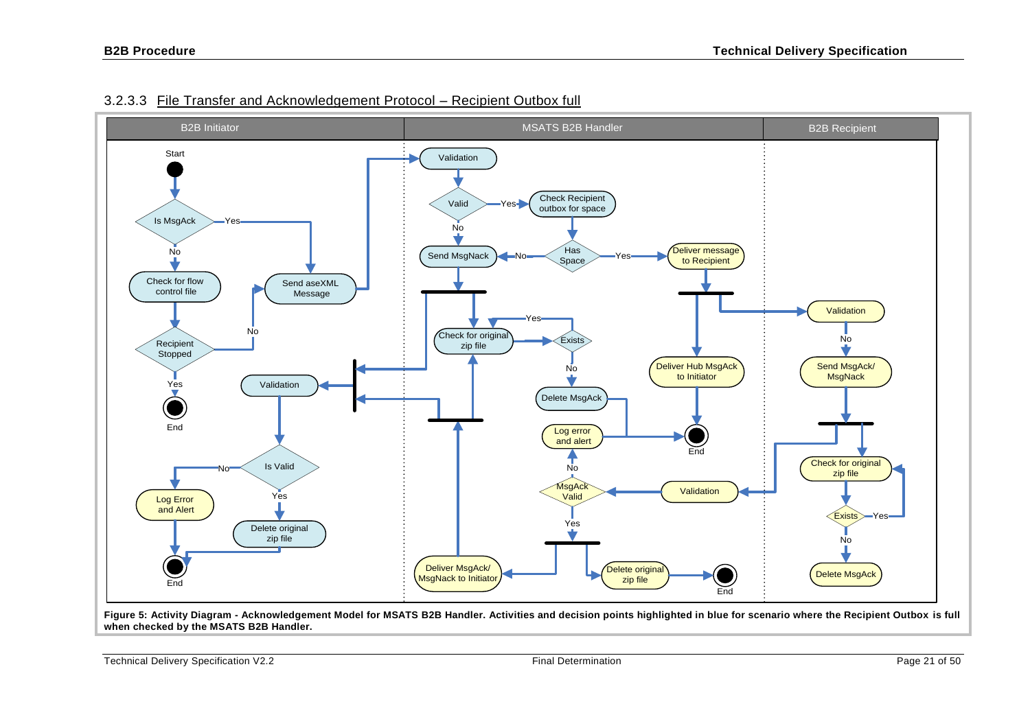

### 3.2.3.3 File Transfer and Acknowledgement Protocol – Recipient Outbox full

<span id="page-20-1"></span>**Figure 5: Activity Diagram - Acknowledgement Model for MSATS B2B Handler. Activities and decision points highlighted in blue for scenario where the Recipient Outbox is full when checked by the MSATS B2B Handler.**

<span id="page-20-0"></span>Technical Delivery Specification V2.2 Final Determination Page 21 of 50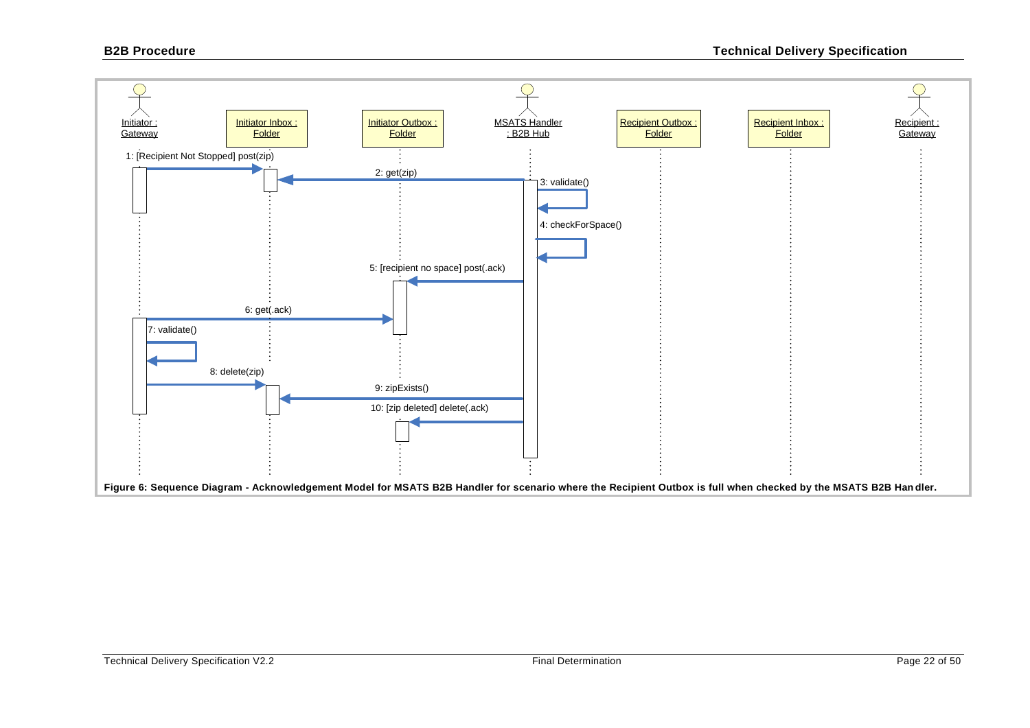<span id="page-21-0"></span>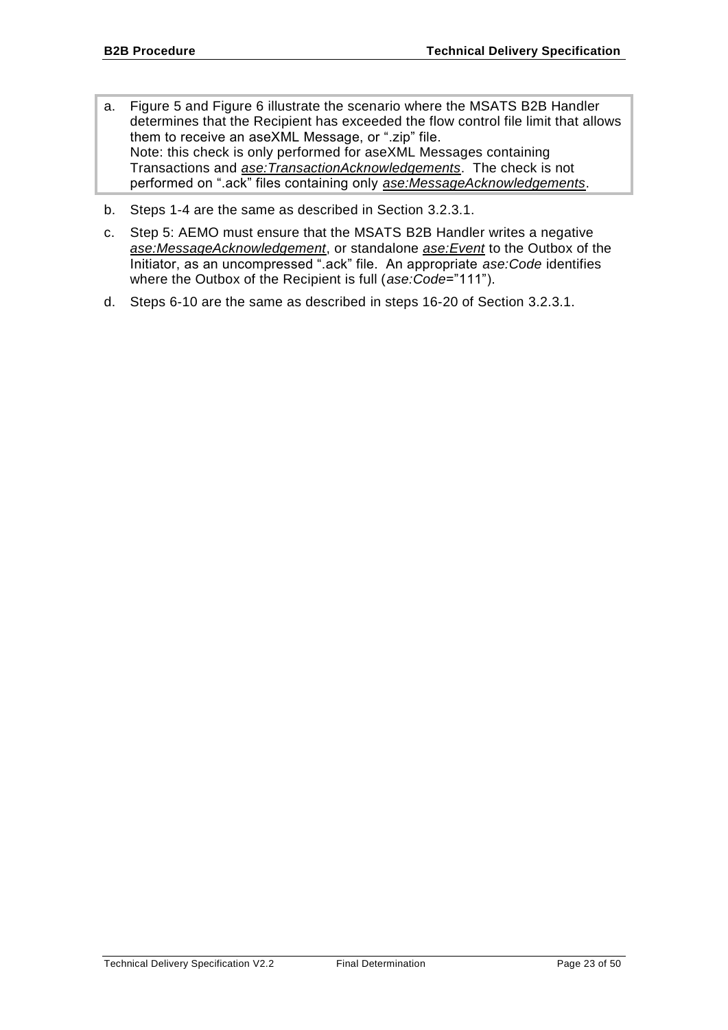- a. [Figure 5](#page-20-0) and [Figure 6](#page-21-0) illustrate the scenario where the MSATS B2B Handler determines that the Recipient has exceeded the flow control file limit that allows them to receive an aseXML Message, or ".zip" file. Note: this check is only performed for aseXML Messages containing Transactions and *ase:TransactionAcknowledgements*. The check is not performed on ".ack" files containing only *ase:MessageAcknowledgements*.
- b. Steps 1-4 are the same as described in Section [3.2.3.1.](#page-14-0)
- c. Step 5: AEMO must ensure that the MSATS B2B Handler writes a negative *ase:MessageAcknowledgement*, or standalone *ase:Event* to the Outbox of the Initiator, as an uncompressed ".ack" file. An appropriate *ase:Code* identifies where the Outbox of the Recipient is full (*ase:Code*="111").
- d. Steps 6-10 are the same as described in steps 16-20 of Section [3.2.3.1.](#page-14-0)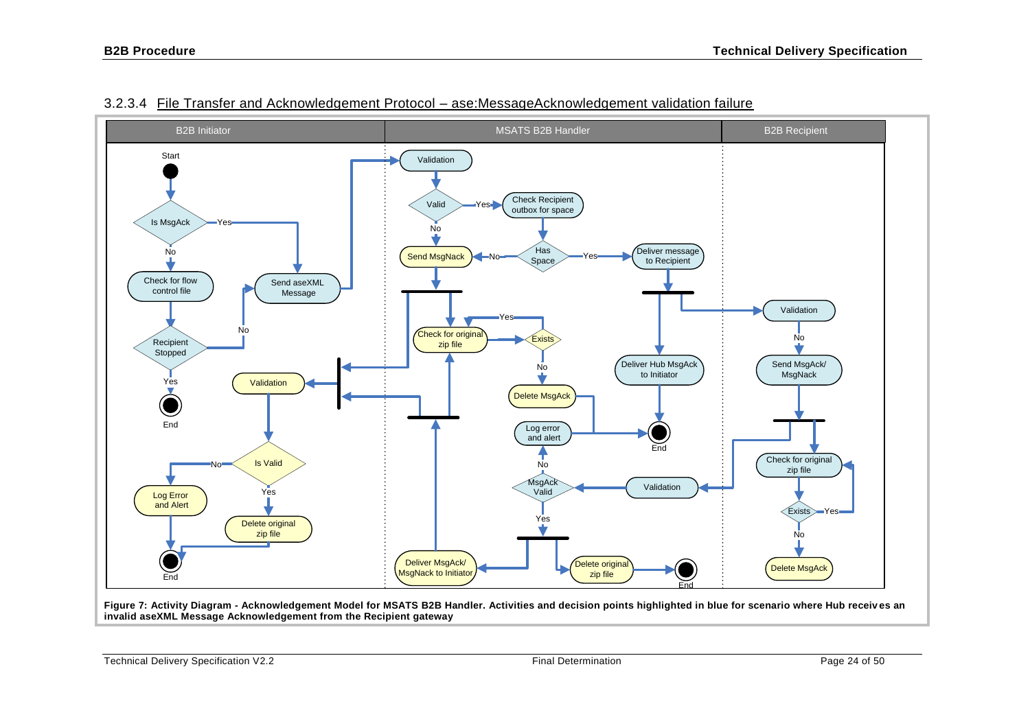

#### 3.2.3.4 File Transfer and Acknowledgement Protocol – ase:MessageAcknowledgement validation failure

<span id="page-23-1"></span><span id="page-23-0"></span>**Figure 7: Activity Diagram - Acknowledgement Model for MSATS B2B Handler. Activities and decision points highlighted in blue for scenario where Hub receiv es an invalid aseXML Message Acknowledgement from the Recipient gateway**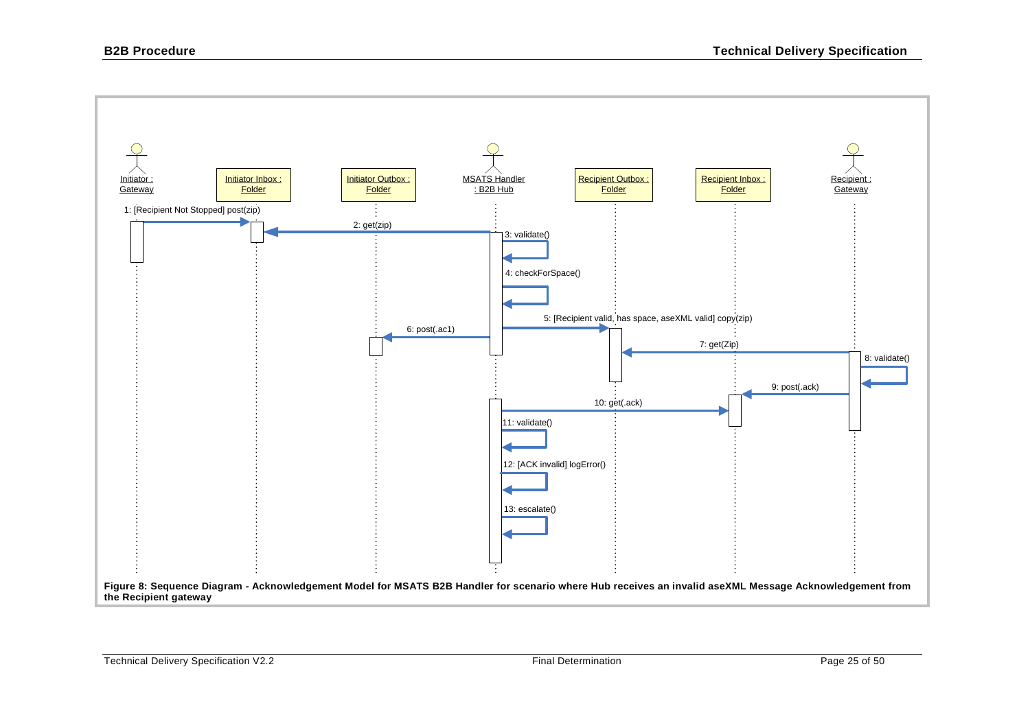<span id="page-24-0"></span>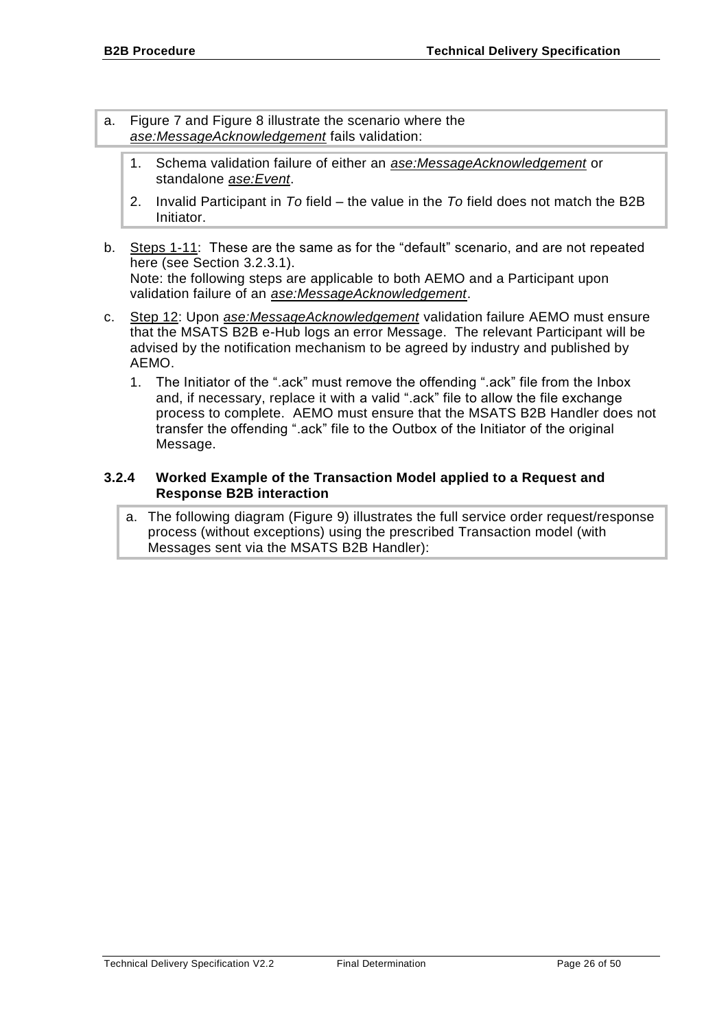- a. [Figure 7](#page-23-0) and [Figure 8](#page-24-0) illustrate the scenario where the *ase:MessageAcknowledgement* fails validation:
	- 1. Schema validation failure of either an *ase:MessageAcknowledgement* or standalone *ase:Event*.
	- 2. Invalid Participant in *To* field the value in the *To* field does not match the B2B Initiator.
- b. Steps 1-11: These are the same as for the "default" scenario, and are not repeated here (see Section [3.2.3.1\)](#page-14-0). Note: the following steps are applicable to both AEMO and a Participant upon validation failure of an *ase:MessageAcknowledgement*.
- c. Step 12: Upon *ase:MessageAcknowledgement* validation failure AEMO must ensure that the MSATS B2B e-Hub logs an error Message. The relevant Participant will be advised by the notification mechanism to be agreed by industry and published by AEMO.
	- 1. The Initiator of the ".ack" must remove the offending ".ack" file from the Inbox and, if necessary, replace it with a valid ".ack" file to allow the file exchange process to complete. AEMO must ensure that the MSATS B2B Handler does not transfer the offending ".ack" file to the Outbox of the Initiator of the original Message.

#### <span id="page-25-0"></span>**3.2.4 Worked Example of the Transaction Model applied to a Request and Response B2B interaction**

a. The following diagram (Figure 9) illustrates the full service order request/response process (without exceptions) using the prescribed Transaction model (with Messages sent via the MSATS B2B Handler):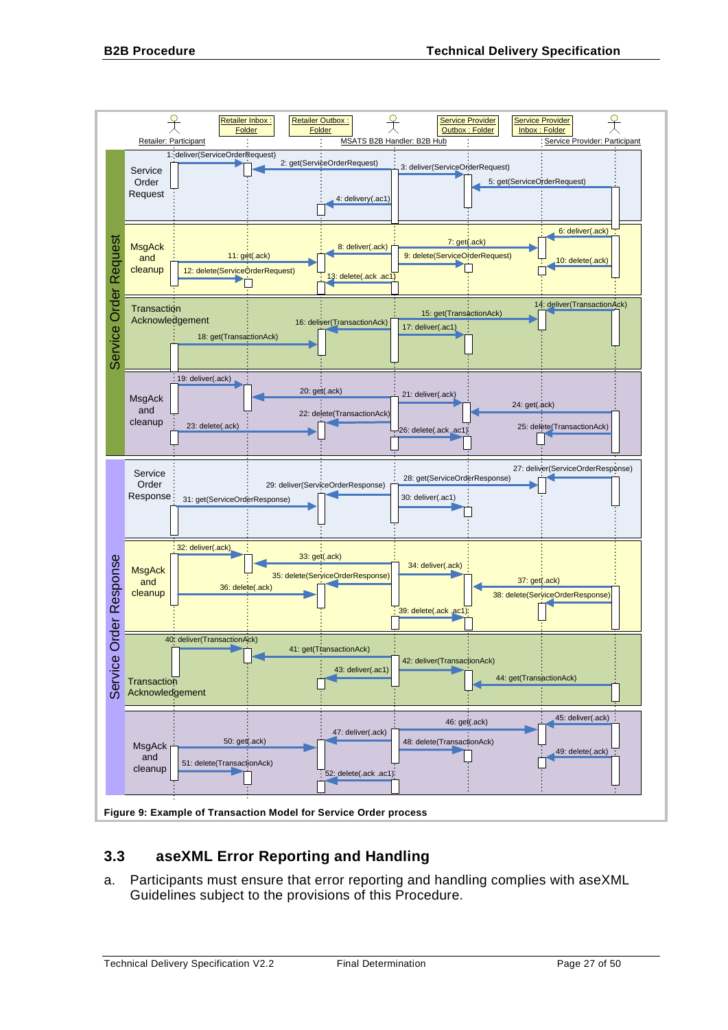

# <span id="page-26-0"></span>**3.3 aseXML Error Reporting and Handling**

a. Participants must ensure that error reporting and handling complies with aseXML Guidelines subject to the provisions of this Procedure.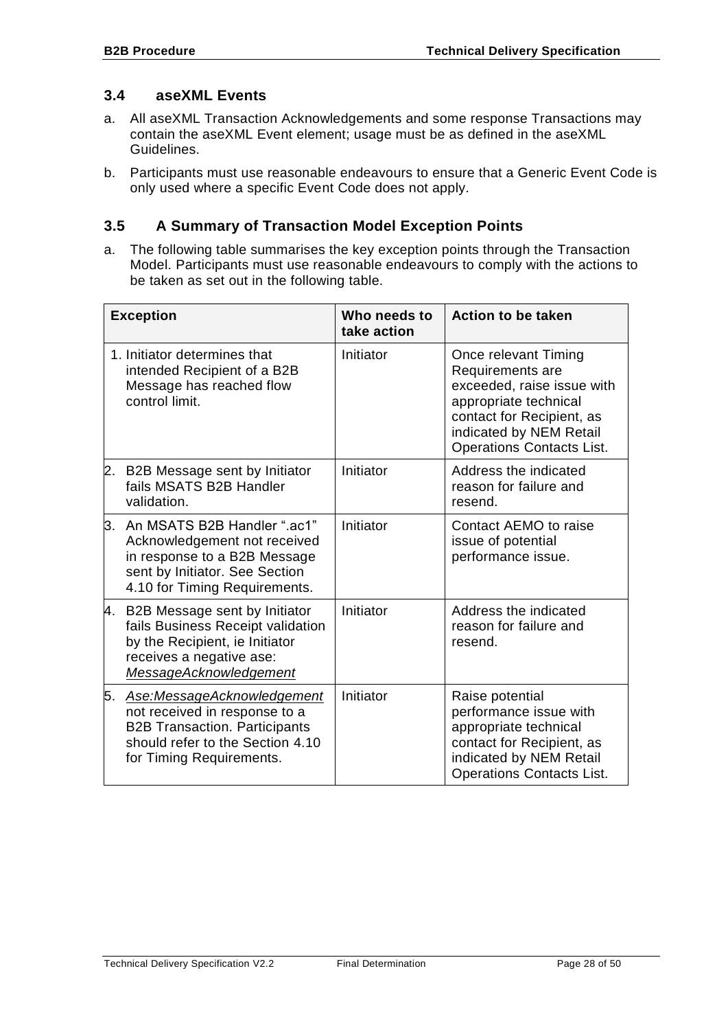## <span id="page-27-0"></span>**3.4 aseXML Events**

- a. All aseXML Transaction Acknowledgements and some response Transactions may contain the aseXML Event element; usage must be as defined in the aseXML Guidelines.
- b. Participants must use reasonable endeavours to ensure that a Generic Event Code is only used where a specific Event Code does not apply.

# <span id="page-27-1"></span>**3.5 A Summary of Transaction Model Exception Points**

a. The following table summarises the key exception points through the Transaction Model. Participants must use reasonable endeavours to comply with the actions to be taken as set out in the following table.

| <b>Exception</b> |                                                                                                                                                                     | Who needs to<br>take action | <b>Action to be taken</b>                                                                                                                                                                   |
|------------------|---------------------------------------------------------------------------------------------------------------------------------------------------------------------|-----------------------------|---------------------------------------------------------------------------------------------------------------------------------------------------------------------------------------------|
|                  | 1. Initiator determines that<br>intended Recipient of a B2B<br>Message has reached flow<br>control limit.                                                           | Initiator                   | Once relevant Timing<br>Requirements are<br>exceeded, raise issue with<br>appropriate technical<br>contact for Recipient, as<br>indicated by NEM Retail<br><b>Operations Contacts List.</b> |
| 2.               | B2B Message sent by Initiator<br>fails MSATS B2B Handler<br>validation.                                                                                             | Initiator                   | Address the indicated<br>reason for failure and<br>resend.                                                                                                                                  |
|                  | 3. An MSATS B2B Handler ".ac1"<br>Acknowledgement not received<br>in response to a B2B Message<br>sent by Initiator. See Section<br>4.10 for Timing Requirements.   | Initiator                   | Contact AEMO to raise<br>issue of potential<br>performance issue.                                                                                                                           |
|                  | 4. B2B Message sent by Initiator<br>fails Business Receipt validation<br>by the Recipient, ie Initiator<br>receives a negative ase:<br>MessageAcknowledgement       | Initiator                   | Address the indicated<br>reason for failure and<br>resend.                                                                                                                                  |
| 5.               | Ase:MessageAcknowledgement<br>not received in response to a<br><b>B2B Transaction. Participants</b><br>should refer to the Section 4.10<br>for Timing Requirements. | Initiator                   | Raise potential<br>performance issue with<br>appropriate technical<br>contact for Recipient, as<br>indicated by NEM Retail<br><b>Operations Contacts List.</b>                              |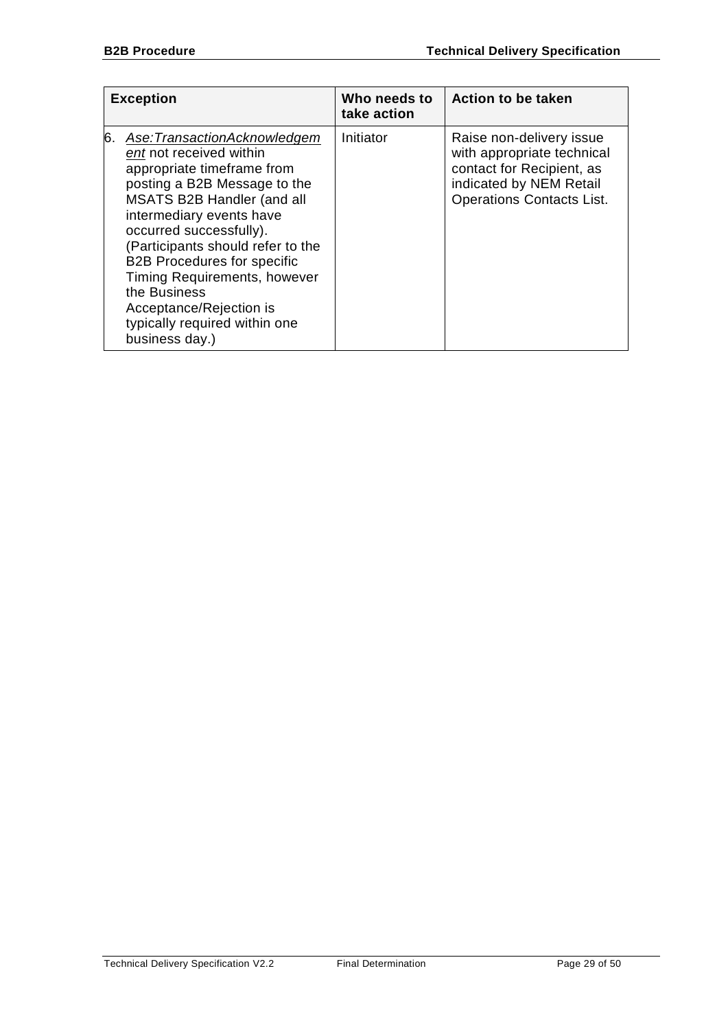| <b>Exception</b> |                                                                                                                                                                                                                                                                                                                                                                                                                           | Who needs to<br>take action | <b>Action to be taken</b>                                                                                                                          |
|------------------|---------------------------------------------------------------------------------------------------------------------------------------------------------------------------------------------------------------------------------------------------------------------------------------------------------------------------------------------------------------------------------------------------------------------------|-----------------------------|----------------------------------------------------------------------------------------------------------------------------------------------------|
| 6.               | Ase:TransactionAcknowledgem<br>ent not received within<br>appropriate timeframe from<br>posting a B2B Message to the<br><b>MSATS B2B Handler (and all</b><br>intermediary events have<br>occurred successfully).<br>(Participants should refer to the<br><b>B2B Procedures for specific</b><br>Timing Requirements, however<br>the Business<br>Acceptance/Rejection is<br>typically required within one<br>business day.) | Initiator                   | Raise non-delivery issue<br>with appropriate technical<br>contact for Recipient, as<br>indicated by NEM Retail<br><b>Operations Contacts List.</b> |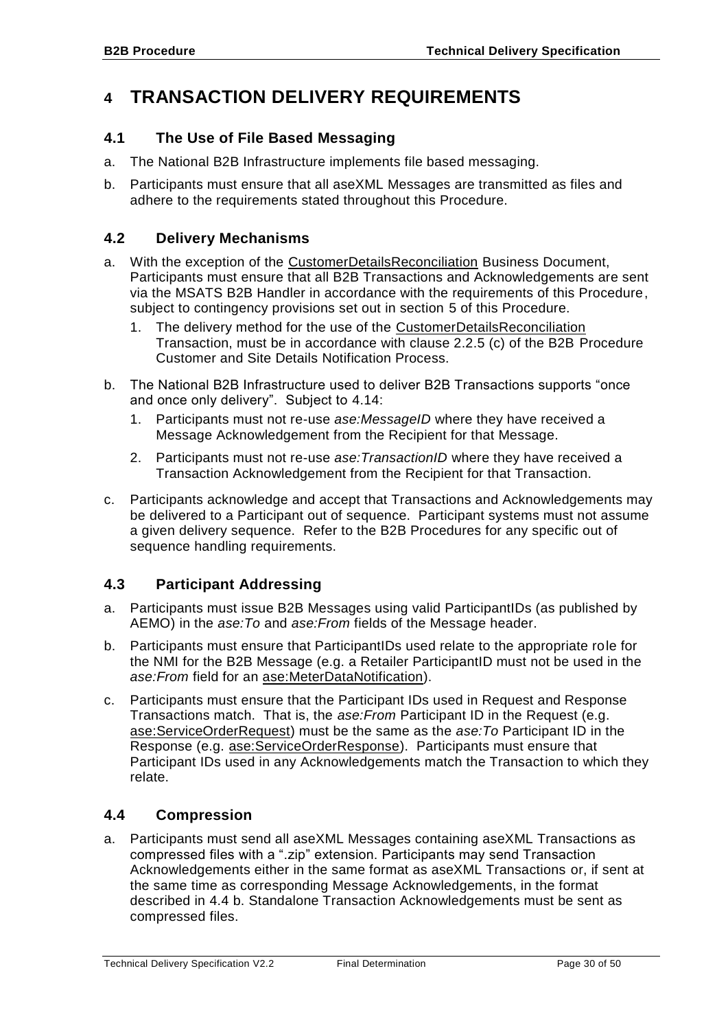# <span id="page-29-0"></span>**4 TRANSACTION DELIVERY REQUIREMENTS**

# <span id="page-29-1"></span>**4.1 The Use of File Based Messaging**

- a. The National B2B Infrastructure implements file based messaging.
- b. Participants must ensure that all aseXML Messages are transmitted as files and adhere to the requirements stated throughout this Procedure.

# <span id="page-29-2"></span>**4.2 Delivery Mechanisms**

- a. With the exception of the CustomerDetailsReconciliation Business Document, Participants must ensure that all B2B Transactions and Acknowledgements are sent via the MSATS B2B Handler in accordance with the requirements of this Procedure, subject to contingency provisions set out in section [5](#page-41-0) of this Procedure.
	- 1. The delivery method for the use of the CustomerDetailsReconciliation Transaction, must be in accordance with clause 2.2.5 (c) of the B2B Procedure Customer and Site Details Notification Process.
- b. The National B2B Infrastructure used to deliver B2B Transactions supports "once and once only delivery". Subject to [4.14:](#page-37-1)
	- 1. Participants must not re-use *ase:MessageID* where they have received a Message Acknowledgement from the Recipient for that Message.
	- 2. Participants must not re-use *ase:TransactionID* where they have received a Transaction Acknowledgement from the Recipient for that Transaction.
- c. Participants acknowledge and accept that Transactions and Acknowledgements may be delivered to a Participant out of sequence. Participant systems must not assume a given delivery sequence. Refer to the B2B Procedures for any specific out of sequence handling requirements.

# <span id="page-29-3"></span>**4.3 Participant Addressing**

- a. Participants must issue B2B Messages using valid ParticipantIDs (as published by AEMO) in the *ase:To* and *ase:From* fields of the Message header.
- b. Participants must ensure that ParticipantIDs used relate to the appropriate role for the NMI for the B2B Message (e.g. a Retailer ParticipantID must not be used in the *ase:From* field for an ase:MeterDataNotification).
- c. Participants must ensure that the Participant IDs used in Request and Response Transactions match. That is, the *ase:From* Participant ID in the Request (e.g. ase:ServiceOrderRequest) must be the same as the *ase:To* Participant ID in the Response (e.g. ase:ServiceOrderResponse). Participants must ensure that Participant IDs used in any Acknowledgements match the Transaction to which they relate.

# <span id="page-29-4"></span>**4.4 Compression**

a. Participants must send all aseXML Messages containing aseXML Transactions as compressed files with a ".zip" extension. Participants may send Transaction Acknowledgements either in the same format as aseXML Transactions or, if sent at the same time as corresponding Message Acknowledgements, in the format described in [4.4](#page-29-4) [b.](#page-30-2) Standalone Transaction Acknowledgements must be sent as compressed files.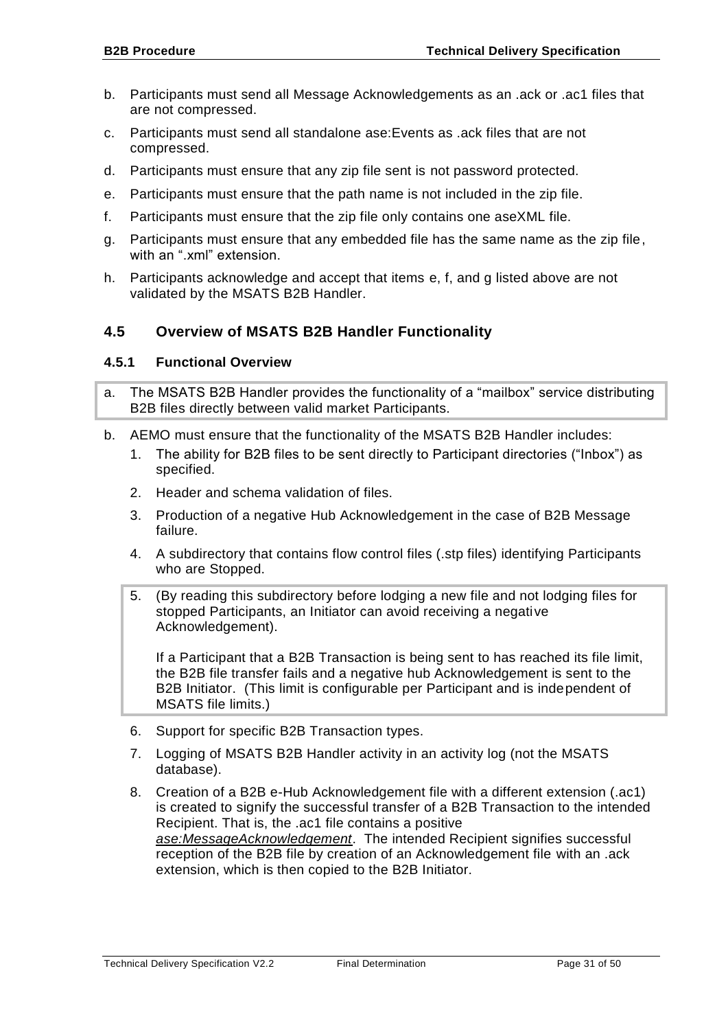- <span id="page-30-2"></span>b. Participants must send all Message Acknowledgements as an .ack or .ac1 files that are not compressed.
- c. Participants must send all standalone ase:Events as .ack files that are not compressed.
- d. Participants must ensure that any zip file sent is not password protected.
- <span id="page-30-3"></span>e. Participants must ensure that the path name is not included in the zip file.
- <span id="page-30-4"></span>f. Participants must ensure that the zip file only contains one aseXML file.
- <span id="page-30-5"></span>g. Participants must ensure that any embedded file has the same name as the zip file, with an ".xml" extension.
- h. Participants acknowledge and accept that items [e,](#page-30-3) [f,](#page-30-4) and [g](#page-30-5) listed above are not validated by the MSATS B2B Handler.

# <span id="page-30-0"></span>**4.5 Overview of MSATS B2B Handler Functionality**

#### <span id="page-30-1"></span>**4.5.1 Functional Overview**

- a. The MSATS B2B Handler provides the functionality of a "mailbox" service distributing B2B files directly between valid market Participants.
- b. AEMO must ensure that the functionality of the MSATS B2B Handler includes:
	- 1. The ability for B2B files to be sent directly to Participant directories ("Inbox") as specified.
	- 2. Header and schema validation of files.
	- 3. Production of a negative Hub Acknowledgement in the case of B2B Message failure.
	- 4. A subdirectory that contains flow control files (.stp files) identifying Participants who are Stopped.
	- 5. (By reading this subdirectory before lodging a new file and not lodging files for stopped Participants, an Initiator can avoid receiving a negative Acknowledgement).

If a Participant that a B2B Transaction is being sent to has reached its file limit, the B2B file transfer fails and a negative hub Acknowledgement is sent to the B2B Initiator. (This limit is configurable per Participant and is independent of MSATS file limits.)

- 6. Support for specific B2B Transaction types.
- 7. Logging of MSATS B2B Handler activity in an activity log (not the MSATS database).
- 8. Creation of a B2B e-Hub Acknowledgement file with a different extension (.ac1) is created to signify the successful transfer of a B2B Transaction to the intended Recipient. That is, the .ac1 file contains a positive *ase:MessageAcknowledgement*. The intended Recipient signifies successful reception of the B2B file by creation of an Acknowledgement file with an .ack extension, which is then copied to the B2B Initiator.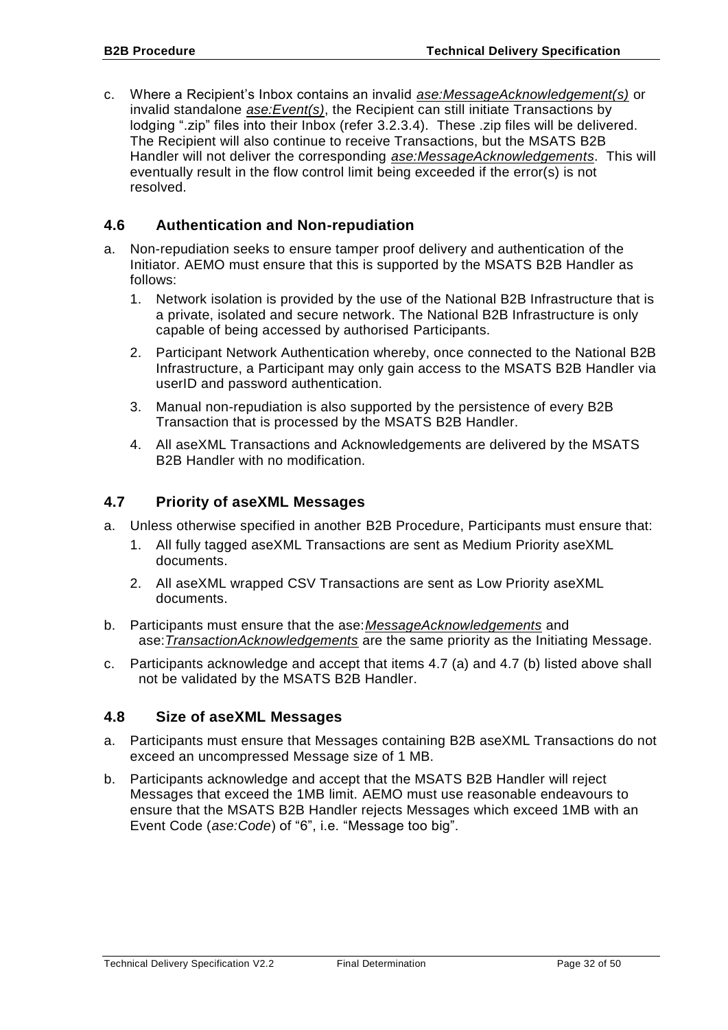c. Where a Recipient's Inbox contains an invalid *ase:MessageAcknowledgement(s)* or invalid standalone *ase:Event(s)*, the Recipient can still initiate Transactions by lodging ".zip" files into their Inbox (refer [3.2.3.4\)](#page-23-1). These .zip files will be delivered. The Recipient will also continue to receive Transactions, but the MSATS B2B Handler will not deliver the corresponding *ase:MessageAcknowledgements*. This will eventually result in the flow control limit being exceeded if the error(s) is not resolved.

# <span id="page-31-0"></span>**4.6 Authentication and Non-repudiation**

- a. Non-repudiation seeks to ensure tamper proof delivery and authentication of the Initiator. AEMO must ensure that this is supported by the MSATS B2B Handler as follows:
	- 1. Network isolation is provided by the use of the National B2B Infrastructure that is a private, isolated and secure network. The National B2B Infrastructure is only capable of being accessed by authorised Participants.
	- 2. Participant Network Authentication whereby, once connected to the National B2B Infrastructure, a Participant may only gain access to the MSATS B2B Handler via userID and password authentication.
	- 3. Manual non-repudiation is also supported by the persistence of every B2B Transaction that is processed by the MSATS B2B Handler.
	- 4. All aseXML Transactions and Acknowledgements are delivered by the MSATS B2B Handler with no modification.

### <span id="page-31-1"></span>**4.7 Priority of aseXML Messages**

- a. Unless otherwise specified in another B2B Procedure, Participants must ensure that:
	- 1. All fully tagged aseXML Transactions are sent as Medium Priority aseXML documents.
	- 2. All aseXML wrapped CSV Transactions are sent as Low Priority aseXML documents.
- b. Participants must ensure that the ase:*MessageAcknowledgements* and ase:*TransactionAcknowledgements* are the same priority as the Initiating Message.
- c. Participants acknowledge and accept that items 4.7 (a) and 4.7 (b) listed above shall not be validated by the MSATS B2B Handler.

#### <span id="page-31-2"></span>**4.8 Size of aseXML Messages**

- a. Participants must ensure that Messages containing B2B aseXML Transactions do not exceed an uncompressed Message size of 1 MB.
- b. Participants acknowledge and accept that the MSATS B2B Handler will reject Messages that exceed the 1MB limit. AEMO must use reasonable endeavours to ensure that the MSATS B2B Handler rejects Messages which exceed 1MB with an Event Code (*ase:Code*) of "6", i.e. "Message too big".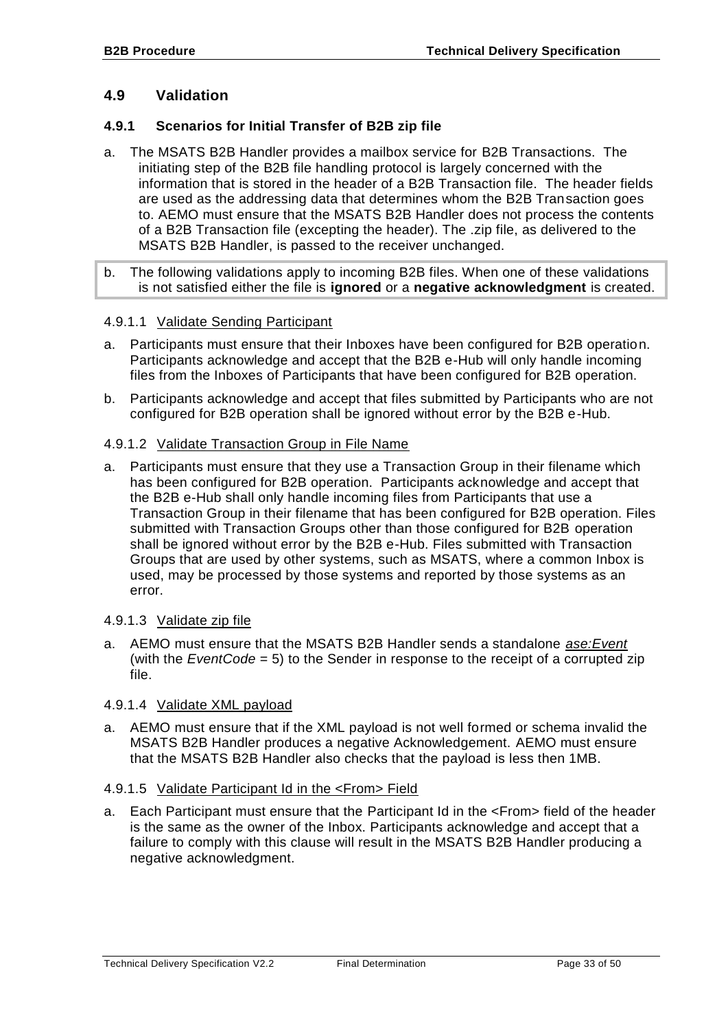## <span id="page-32-0"></span>**4.9 Validation**

#### <span id="page-32-1"></span>**4.9.1 Scenarios for Initial Transfer of B2B zip file**

- a. The MSATS B2B Handler provides a mailbox service for B2B Transactions. The initiating step of the B2B file handling protocol is largely concerned with the information that is stored in the header of a B2B Transaction file. The header fields are used as the addressing data that determines whom the B2B Transaction goes to. AEMO must ensure that the MSATS B2B Handler does not process the contents of a B2B Transaction file (excepting the header). The .zip file, as delivered to the MSATS B2B Handler, is passed to the receiver unchanged.
- b. The following validations apply to incoming B2B files. When one of these validations is not satisfied either the file is **ignored** or a **negative acknowledgment** is created.

#### 4.9.1.1 Validate Sending Participant

- a. Participants must ensure that their Inboxes have been configured for B2B operation. Participants acknowledge and accept that the B2B e-Hub will only handle incoming files from the Inboxes of Participants that have been configured for B2B operation.
- b. Participants acknowledge and accept that files submitted by Participants who are not configured for B2B operation shall be ignored without error by the B2B e-Hub.

#### 4.9.1.2 Validate Transaction Group in File Name

a. Participants must ensure that they use a Transaction Group in their filename which has been configured for B2B operation. Participants acknowledge and accept that the B2B e-Hub shall only handle incoming files from Participants that use a Transaction Group in their filename that has been configured for B2B operation. Files submitted with Transaction Groups other than those configured for B2B operation shall be ignored without error by the B2B e-Hub. Files submitted with Transaction Groups that are used by other systems, such as MSATS, where a common Inbox is used, may be processed by those systems and reported by those systems as an error.

#### 4.9.1.3 Validate zip file

a. AEMO must ensure that the MSATS B2B Handler sends a standalone *ase:Event* (with the *EventCode* = 5) to the Sender in response to the receipt of a corrupted zip file.

#### 4.9.1.4 Validate XML payload

a. AEMO must ensure that if the XML payload is not well formed or schema invalid the MSATS B2B Handler produces a negative Acknowledgement. AEMO must ensure that the MSATS B2B Handler also checks that the payload is less then 1MB.

#### 4.9.1.5 Validate Participant Id in the <From> Field

a. Each Participant must ensure that the Participant Id in the <From> field of the header is the same as the owner of the Inbox. Participants acknowledge and accept that a failure to comply with this clause will result in the MSATS B2B Handler producing a negative acknowledgment.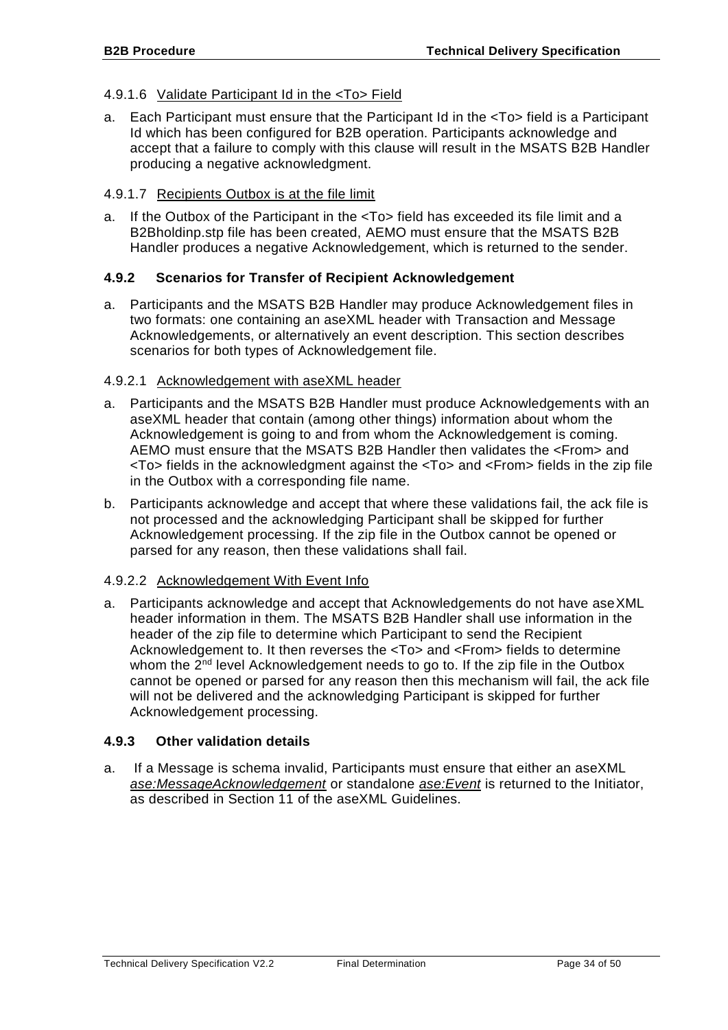#### 4.9.1.6 Validate Participant Id in the <To> Field

a. Each Participant must ensure that the Participant Id in the <To> field is a Participant Id which has been configured for B2B operation. Participants acknowledge and accept that a failure to comply with this clause will result in the MSATS B2B Handler producing a negative acknowledgment.

#### 4.9.1.7 Recipients Outbox is at the file limit

a. If the Outbox of the Participant in the <To> field has exceeded its file limit and a B2Bholdinp.stp file has been created, AEMO must ensure that the MSATS B2B Handler produces a negative Acknowledgement, which is returned to the sender.

#### <span id="page-33-0"></span>**4.9.2 Scenarios for Transfer of Recipient Acknowledgement**

a. Participants and the MSATS B2B Handler may produce Acknowledgement files in two formats: one containing an aseXML header with Transaction and Message Acknowledgements, or alternatively an event description. This section describes scenarios for both types of Acknowledgement file.

#### <span id="page-33-2"></span>4.9.2.1 Acknowledgement with aseXML header

- a. Participants and the MSATS B2B Handler must produce Acknowledgements with an aseXML header that contain (among other things) information about whom the Acknowledgement is going to and from whom the Acknowledgement is coming. AEMO must ensure that the MSATS B2B Handler then validates the <From> and <To> fields in the acknowledgment against the <To> and <From> fields in the zip file in the Outbox with a corresponding file name.
- b. Participants acknowledge and accept that where these validations fail, the ack file is not processed and the acknowledging Participant shall be skipped for further Acknowledgement processing. If the zip file in the Outbox cannot be opened or parsed for any reason, then these validations shall fail.

#### 4.9.2.2 Acknowledgement With Event Info

a. Participants acknowledge and accept that Acknowledgements do not have aseXML header information in them. The MSATS B2B Handler shall use information in the header of the zip file to determine which Participant to send the Recipient Acknowledgement to. It then reverses the <To> and <From> fields to determine whom the  $2^{nd}$  level Acknowledgement needs to go to. If the zip file in the Outbox cannot be opened or parsed for any reason then this mechanism will fail, the ack file will not be delivered and the acknowledging Participant is skipped for further Acknowledgement processing.

#### <span id="page-33-1"></span>**4.9.3 Other validation details**

a. If a Message is schema invalid, Participants must ensure that either an aseXML *ase:MessageAcknowledgement* or standalone *ase:Event* is returned to the Initiator, as described in Section 11 of the aseXML Guidelines.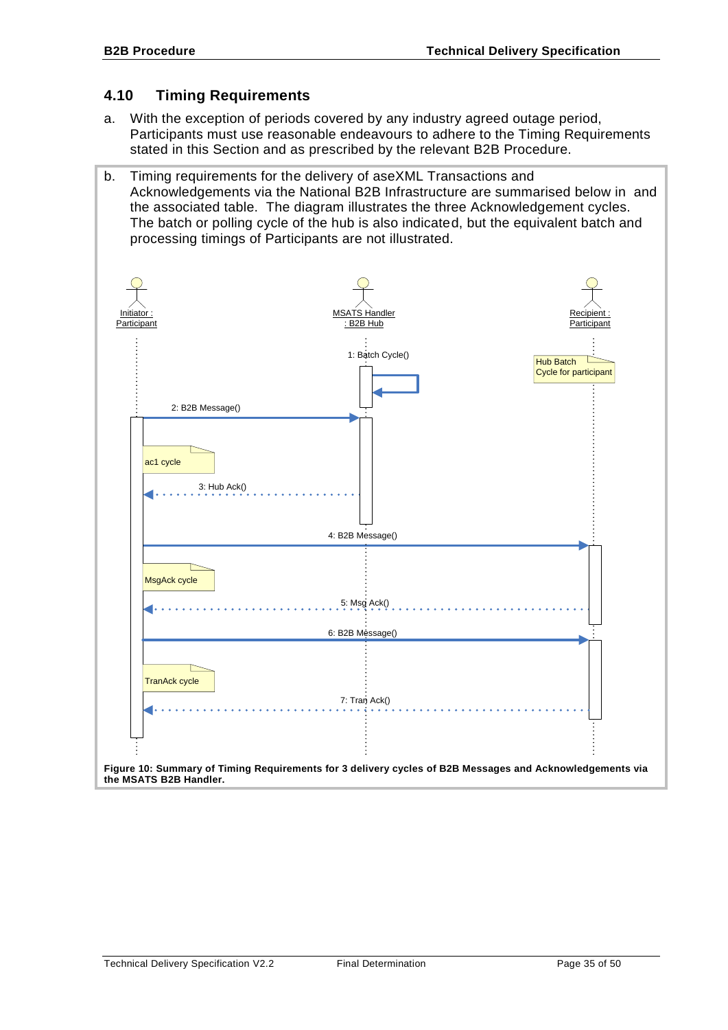# <span id="page-34-0"></span>**4.10 Timing Requirements**

- a. With the exception of periods covered by any industry agreed outage period, Participants must use reasonable endeavours to adhere to the Timing Requirements stated in this Section and as prescribed by the relevant B2B Procedure.
- b. Timing requirements for the delivery of aseXML Transactions and Acknowledgements via the National B2B Infrastructure are summarised below in and the associated table. The diagram illustrates the three Acknowledgement cycles. The batch or polling cycle of the hub is also indicated, but the equivalent batch and processing timings of Participants are not illustrated.

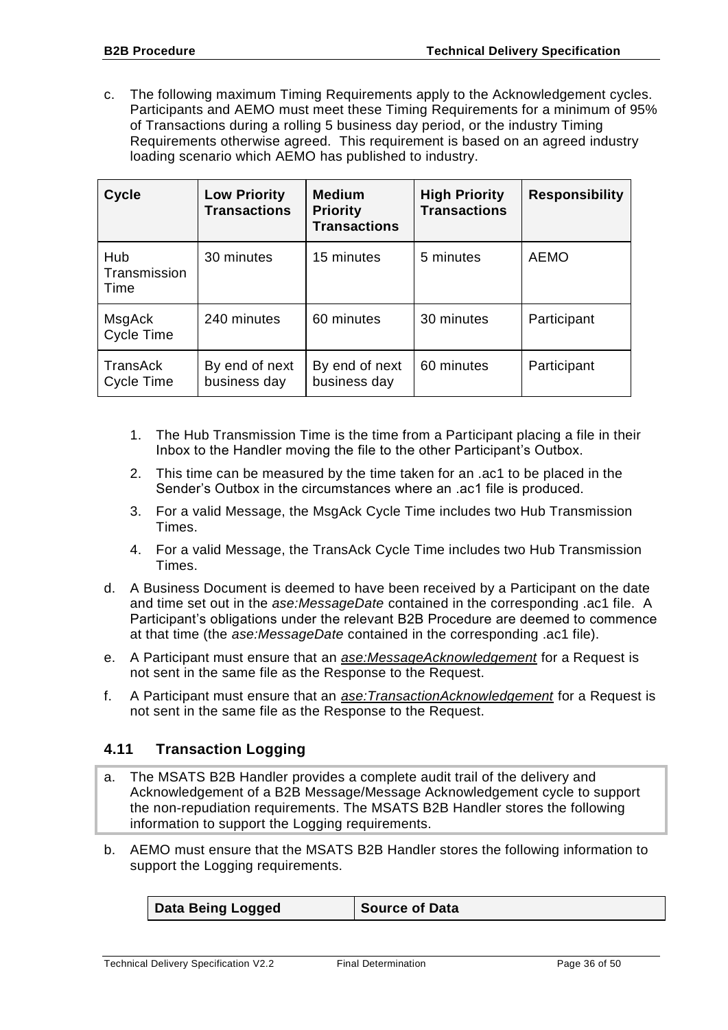c. The following maximum Timing Requirements apply to the Acknowledgement cycles. Participants and AEMO must meet these Timing Requirements for a minimum of 95% of Transactions during a rolling 5 business day period, or the industry Timing Requirements otherwise agreed. This requirement is based on an agreed industry loading scenario which AEMO has published to industry.

| <b>Cycle</b>                | <b>Low Priority</b><br><b>Transactions</b> | <b>Medium</b><br><b>Priority</b><br><b>Transactions</b> | <b>High Priority</b><br><b>Transactions</b> | <b>Responsibility</b> |
|-----------------------------|--------------------------------------------|---------------------------------------------------------|---------------------------------------------|-----------------------|
| Hub<br>Transmission<br>Time | 30 minutes                                 | 15 minutes                                              | 5 minutes                                   | <b>AEMO</b>           |
| MsgAck<br>Cycle Time        | 240 minutes                                | 60 minutes                                              | 30 minutes                                  | Participant           |
| TransAck<br>Cycle Time      | By end of next<br>business day             | By end of next<br>business day                          | 60 minutes                                  | Participant           |

- 1. The Hub Transmission Time is the time from a Participant placing a file in their Inbox to the Handler moving the file to the other Participant's Outbox.
- 2. This time can be measured by the time taken for an .ac1 to be placed in the Sender's Outbox in the circumstances where an .ac1 file is produced.
- 3. For a valid Message, the MsgAck Cycle Time includes two Hub Transmission Times.
- 4. For a valid Message, the TransAck Cycle Time includes two Hub Transmission Times.
- d. A Business Document is deemed to have been received by a Participant on the date and time set out in the *ase:MessageDate* contained in the corresponding .ac1 file. A Participant's obligations under the relevant B2B Procedure are deemed to commence at that time (the *ase:MessageDate* contained in the corresponding .ac1 file).
- e. A Participant must ensure that an *ase:MessageAcknowledgement* for a Request is not sent in the same file as the Response to the Request.
- f. A Participant must ensure that an *ase:TransactionAcknowledgement* for a Request is not sent in the same file as the Response to the Request.

# <span id="page-35-0"></span>**4.11 Transaction Logging**

- a. The MSATS B2B Handler provides a complete audit trail of the delivery and Acknowledgement of a B2B Message/Message Acknowledgement cycle to support the non-repudiation requirements. The MSATS B2B Handler stores the following information to support the Logging requirements.
- b. AEMO must ensure that the MSATS B2B Handler stores the following information to support the Logging requirements.

| Data Being Logged | <b>Source of Data</b> |
|-------------------|-----------------------|
|-------------------|-----------------------|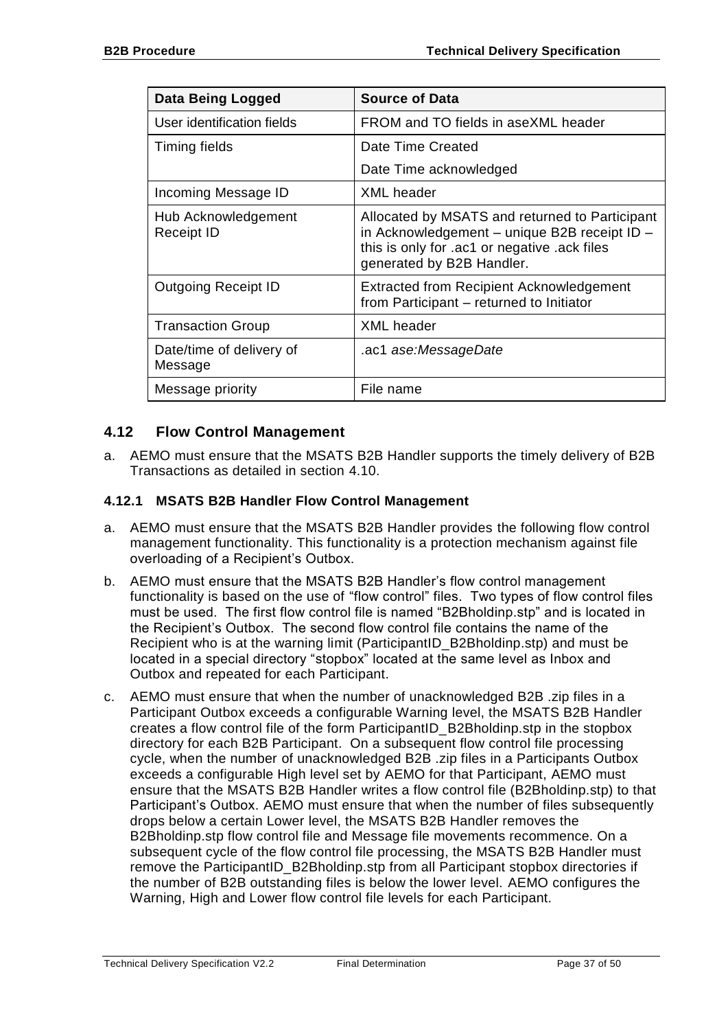| <b>Data Being Logged</b>            | <b>Source of Data</b>                                                                                                                                                       |  |
|-------------------------------------|-----------------------------------------------------------------------------------------------------------------------------------------------------------------------------|--|
| User identification fields          | FROM and TO fields in aseXML header                                                                                                                                         |  |
| Timing fields                       | Date Time Created                                                                                                                                                           |  |
|                                     | Date Time acknowledged                                                                                                                                                      |  |
| Incoming Message ID                 | XML header                                                                                                                                                                  |  |
| Hub Acknowledgement<br>Receipt ID   | Allocated by MSATS and returned to Participant<br>in Acknowledgement - unique B2B receipt ID -<br>this is only for .ac1 or negative .ack files<br>generated by B2B Handler. |  |
| <b>Outgoing Receipt ID</b>          | Extracted from Recipient Acknowledgement<br>from Participant – returned to Initiator                                                                                        |  |
| <b>Transaction Group</b>            | <b>XML</b> header                                                                                                                                                           |  |
| Date/time of delivery of<br>Message | .ac1 ase:MessageDate                                                                                                                                                        |  |
| Message priority                    | File name                                                                                                                                                                   |  |

# <span id="page-36-0"></span>**4.12 Flow Control Management**

a. AEMO must ensure that the MSATS B2B Handler supports the timely delivery of B2B Transactions as detailed in section [4.10.](#page-34-0)

### <span id="page-36-1"></span>**4.12.1 MSATS B2B Handler Flow Control Management**

- a. AEMO must ensure that the MSATS B2B Handler provides the following flow control management functionality. This functionality is a protection mechanism against file overloading of a Recipient's Outbox.
- b. AEMO must ensure that the MSATS B2B Handler's flow control management functionality is based on the use of "flow control" files. Two types of flow control files must be used. The first flow control file is named "B2Bholdinp.stp" and is located in the Recipient's Outbox. The second flow control file contains the name of the Recipient who is at the warning limit (ParticipantID\_B2Bholdinp.stp) and must be located in a special directory "stopbox" located at the same level as Inbox and Outbox and repeated for each Participant.
- c. AEMO must ensure that when the number of unacknowledged B2B .zip files in a Participant Outbox exceeds a configurable Warning level, the MSATS B2B Handler creates a flow control file of the form ParticipantID\_B2Bholdinp.stp in the stopbox directory for each B2B Participant. On a subsequent flow control file processing cycle, when the number of unacknowledged B2B .zip files in a Participants Outbox exceeds a configurable High level set by AEMO for that Participant, AEMO must ensure that the MSATS B2B Handler writes a flow control file (B2Bholdinp.stp) to that Participant's Outbox. AEMO must ensure that when the number of files subsequently drops below a certain Lower level, the MSATS B2B Handler removes the B2Bholdinp.stp flow control file and Message file movements recommence. On a subsequent cycle of the flow control file processing, the MSATS B2B Handler must remove the ParticipantID\_B2Bholdinp.stp from all Participant stopbox directories if the number of B2B outstanding files is below the lower level. AEMO configures the Warning, High and Lower flow control file levels for each Participant.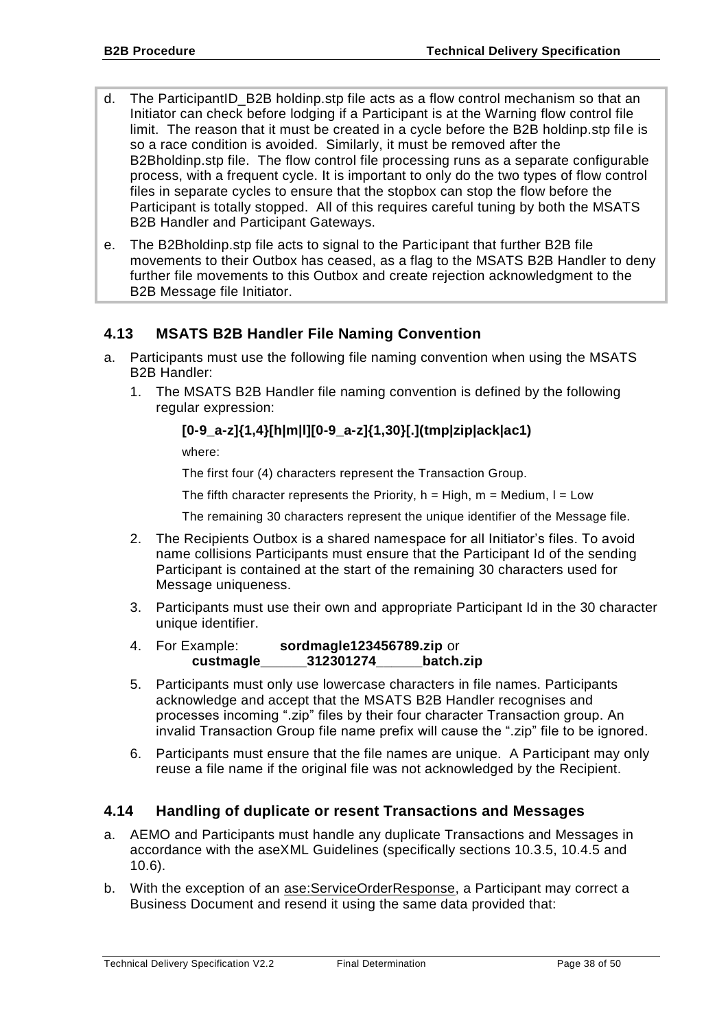- d. The ParticipantID B2B holdinp.stp file acts as a flow control mechanism so that an Initiator can check before lodging if a Participant is at the Warning flow control file limit. The reason that it must be created in a cycle before the B2B holdinp.stp file is so a race condition is avoided. Similarly, it must be removed after the B2Bholdinp.stp file. The flow control file processing runs as a separate configurable process, with a frequent cycle. It is important to only do the two types of flow control files in separate cycles to ensure that the stopbox can stop the flow before the Participant is totally stopped. All of this requires careful tuning by both the MSATS B2B Handler and Participant Gateways.
- e. The B2Bholdinp.stp file acts to signal to the Participant that further B2B file movements to their Outbox has ceased, as a flag to the MSATS B2B Handler to deny further file movements to this Outbox and create rejection acknowledgment to the B2B Message file Initiator.

# <span id="page-37-0"></span>**4.13 MSATS B2B Handler File Naming Convention**

- <span id="page-37-3"></span><span id="page-37-2"></span>a. Participants must use the following file naming convention when using the MSATS B2B Handler:
	- 1. The MSATS B2B Handler file naming convention is defined by the following regular expression:

### **[0-9\_a-z]{1,4}[h|m|l][0-9\_a-z]{1,30}[.](tmp|zip|ack|ac1)**

where:

The first four (4) characters represent the Transaction Group.

The fifth character represents the Priority,  $h = High$ ,  $m = Medium$ ,  $l = Low$ 

The remaining 30 characters represent the unique identifier of the Message file.

- 2. The Recipients Outbox is a shared namespace for all Initiator's files. To avoid name collisions Participants must ensure that the Participant Id of the sending Participant is contained at the start of the remaining 30 characters used for Message uniqueness.
- 3. Participants must use their own and appropriate Participant Id in the 30 character unique identifier.
- 4. For Example: **sordmagle123456789.zip** or **custmagle\_\_\_\_\_\_312301274\_\_\_\_\_\_batch.zip**
- 5. Participants must only use lowercase characters in file names. Participants acknowledge and accept that the MSATS B2B Handler recognises and processes incoming ".zip" files by their four character Transaction group. An invalid Transaction Group file name prefix will cause the ".zip" file to be ignored.
- 6. Participants must ensure that the file names are unique. A Participant may only reuse a file name if the original file was not acknowledged by the Recipient.

# <span id="page-37-1"></span>**4.14 Handling of duplicate or resent Transactions and Messages**

- a. AEMO and Participants must handle any duplicate Transactions and Messages in accordance with the aseXML Guidelines (specifically sections 10.3.5, 10.4.5 and 10.6).
- b. With the exception of an ase:ServiceOrderResponse, a Participant may correct a Business Document and resend it using the same data provided that: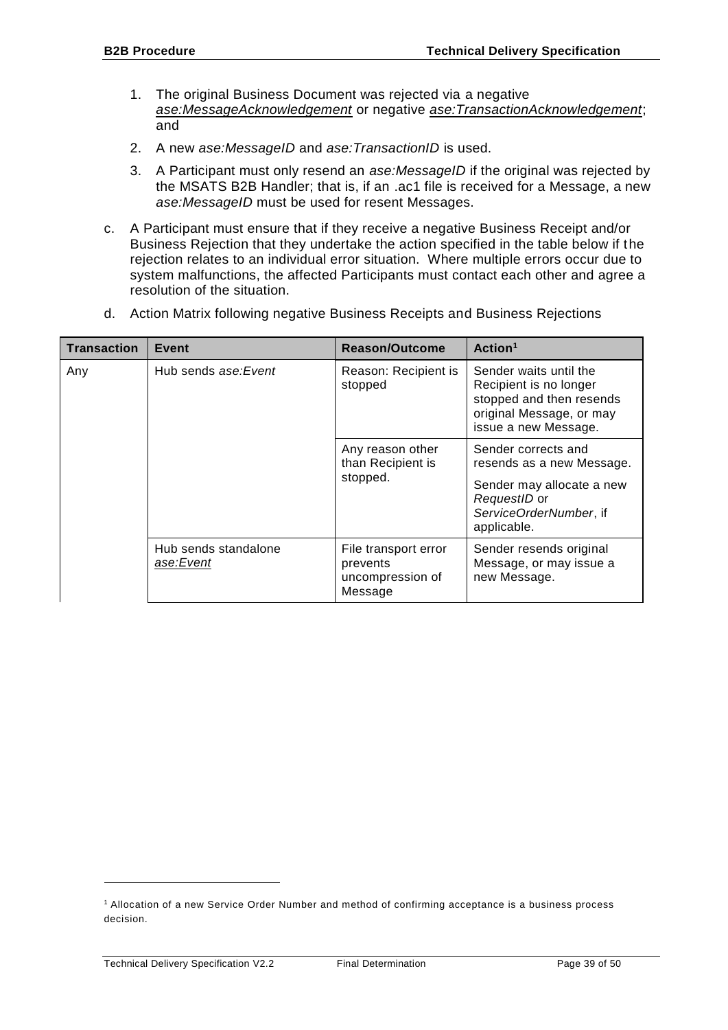- 1. The original Business Document was rejected via a negative *ase:MessageAcknowledgement* or negative *ase:TransactionAcknowledgement*; and
- 2. A new *ase:MessageID* and *ase:TransactionID* is used.
- 3. A Participant must only resend an *ase:MessageID* if the original was rejected by the MSATS B2B Handler; that is, if an .ac1 file is received for a Message, a new *ase:MessageID* must be used for resent Messages.
- c. A Participant must ensure that if they receive a negative Business Receipt and/or Business Rejection that they undertake the action specified in the table below if the rejection relates to an individual error situation. Where multiple errors occur due to system malfunctions, the affected Participants must contact each other and agree a resolution of the situation.
- d. Action Matrix following negative Business Receipts and Business Rejections

| <b>Transaction</b> | Event                             | Reason/Outcome                                                  | Action <sup>1</sup>                                                                                                                    |
|--------------------|-----------------------------------|-----------------------------------------------------------------|----------------------------------------------------------------------------------------------------------------------------------------|
| Any                | Hub sends ase: Event              | Reason: Recipient is<br>stopped                                 | Sender waits until the<br>Recipient is no longer<br>stopped and then resends<br>original Message, or may<br>issue a new Message.       |
|                    |                                   | Any reason other<br>than Recipient is<br>stopped.               | Sender corrects and<br>resends as a new Message.<br>Sender may allocate a new<br>RequestID or<br>ServiceOrderNumber, if<br>applicable. |
|                    | Hub sends standalone<br>ase:Event | File transport error<br>prevents<br>uncompression of<br>Message | Sender resends original<br>Message, or may issue a<br>new Message.                                                                     |

1

<sup>1</sup> Allocation of a new Service Order Number and method of confirming acceptance is a business process decision.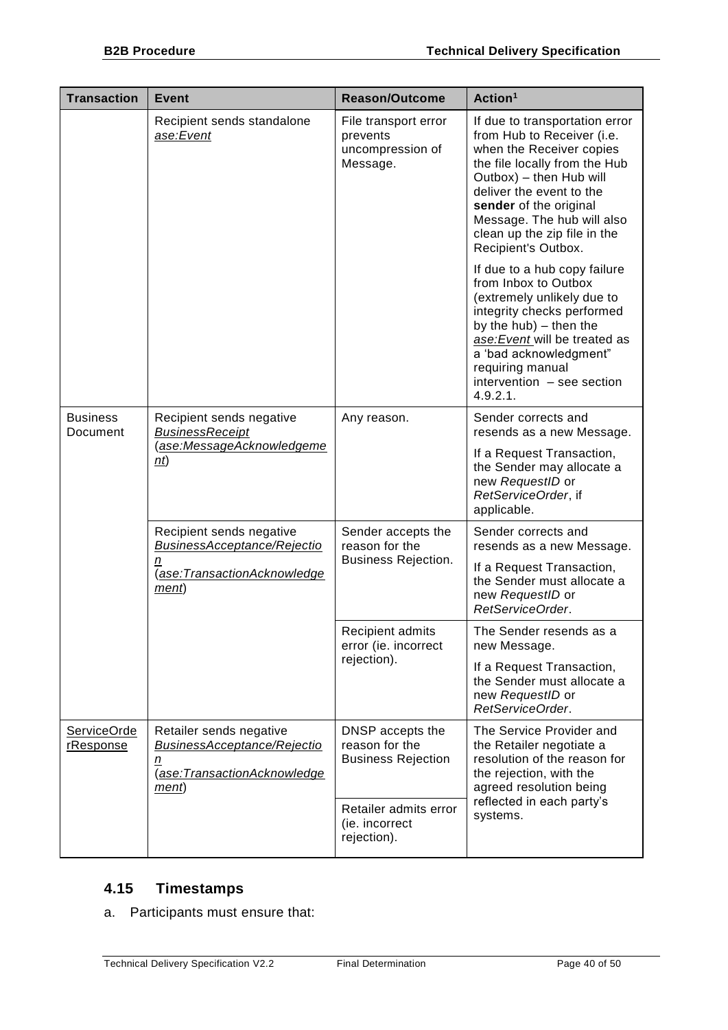| <b>Transaction</b>          | <b>Event</b>                                                                                                | <b>Reason/Outcome</b>                                              | Action <sup>1</sup>                                                                                                                                                                                                                                                                             |
|-----------------------------|-------------------------------------------------------------------------------------------------------------|--------------------------------------------------------------------|-------------------------------------------------------------------------------------------------------------------------------------------------------------------------------------------------------------------------------------------------------------------------------------------------|
|                             | Recipient sends standalone<br>ase:Event                                                                     | File transport error<br>prevents<br>uncompression of<br>Message.   | If due to transportation error<br>from Hub to Receiver (i.e.<br>when the Receiver copies<br>the file locally from the Hub<br>Outbox) - then Hub will<br>deliver the event to the<br>sender of the original<br>Message. The hub will also<br>clean up the zip file in the<br>Recipient's Outbox. |
|                             |                                                                                                             |                                                                    | If due to a hub copy failure<br>from Inbox to Outbox<br>(extremely unlikely due to<br>integrity checks performed<br>by the $hub$ ) – then the<br>ase: Event will be treated as<br>a 'bad acknowledgment"<br>requiring manual<br>intervention - see section<br>4.9.2.1.                          |
| <b>Business</b><br>Document | Recipient sends negative<br><b>BusinessReceipt</b><br>(ase:MessageAcknowledgeme<br>n(t)                     | Any reason.                                                        | Sender corrects and<br>resends as a new Message.                                                                                                                                                                                                                                                |
|                             |                                                                                                             |                                                                    | If a Request Transaction,<br>the Sender may allocate a<br>new RequestID or<br>RetServiceOrder, if<br>applicable.                                                                                                                                                                                |
|                             | Recipient sends negative<br><b>BusinessAcceptance/Rejectio</b><br>n<br>(ase:TransactionAcknowledge<br>ment) | Sender accepts the<br>reason for the<br><b>Business Rejection.</b> | Sender corrects and<br>resends as a new Message.                                                                                                                                                                                                                                                |
|                             |                                                                                                             |                                                                    | If a Request Transaction,<br>the Sender must allocate a<br>new RequestID or<br>RetServiceOrder.                                                                                                                                                                                                 |
|                             |                                                                                                             | Recipient admits<br>error (ie. incorrect<br>rejection).            | The Sender resends as a<br>new Message.                                                                                                                                                                                                                                                         |
|                             |                                                                                                             |                                                                    | If a Request Transaction,<br>the Sender must allocate a<br>new RequestID or<br>RetServiceOrder.                                                                                                                                                                                                 |
| ServiceOrde<br>rResponse    | Retailer sends negative<br><b>BusinessAcceptance/Rejectio</b><br>n<br>(ase:TransactionAcknowledge<br>ment)  | DNSP accepts the<br>reason for the<br><b>Business Rejection</b>    | The Service Provider and<br>the Retailer negotiate a<br>resolution of the reason for<br>the rejection, with the<br>agreed resolution being<br>reflected in each party's<br>systems.                                                                                                             |
|                             |                                                                                                             | Retailer admits error<br>(ie. incorrect<br>rejection).             |                                                                                                                                                                                                                                                                                                 |

# <span id="page-39-0"></span>**4.15 Timestamps**

a. Participants must ensure that: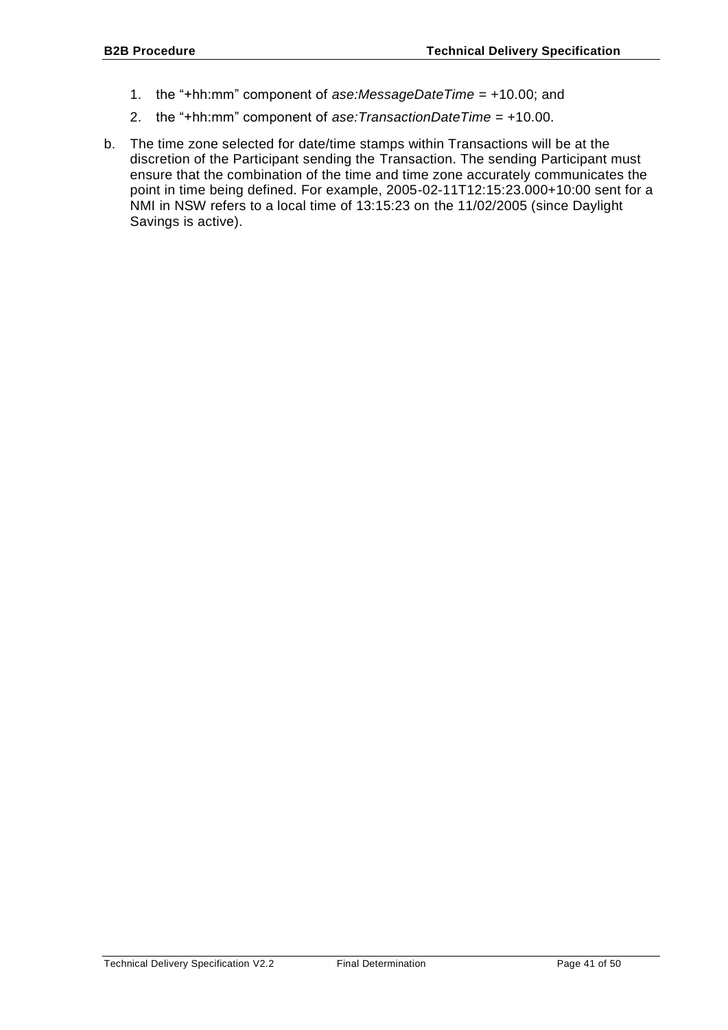- 1. the "+hh:mm" component of *ase:MessageDateTime* = +10.00; and
- 2. the "+hh:mm" component of *ase:TransactionDateTime* = +10.00.
- b. The time zone selected for date/time stamps within Transactions will be at the discretion of the Participant sending the Transaction. The sending Participant must ensure that the combination of the time and time zone accurately communicates the point in time being defined. For example, 2005-02-11T12:15:23.000+10:00 sent for a NMI in NSW refers to a local time of 13:15:23 on the 11/02/2005 (since Daylight Savings is active).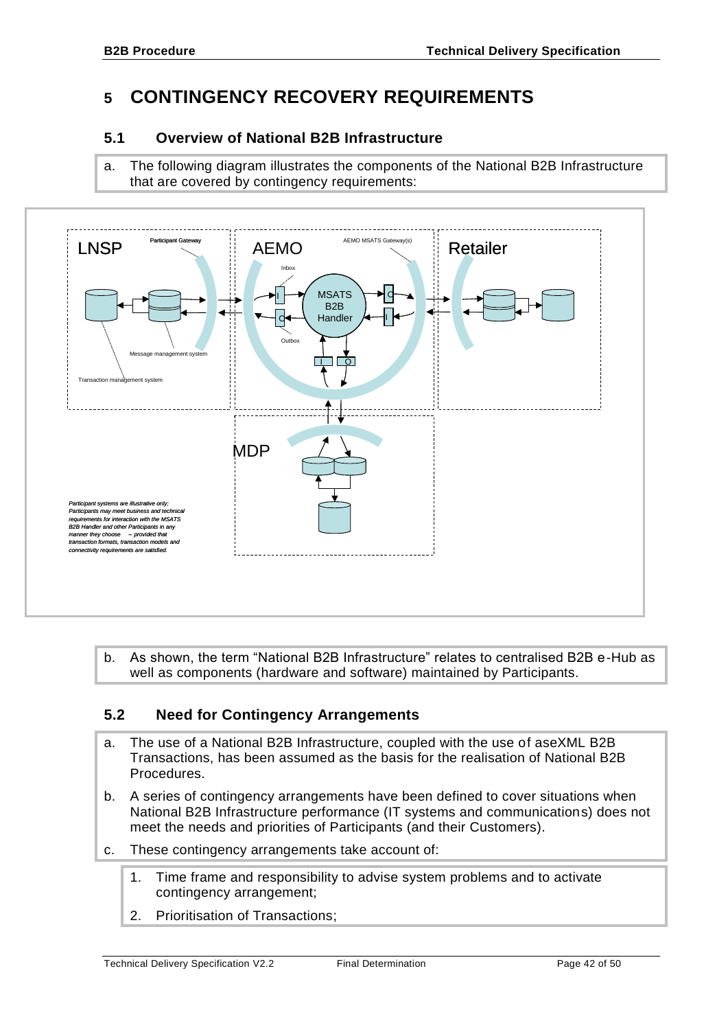# <span id="page-41-0"></span>**5 CONTINGENCY RECOVERY REQUIREMENTS**

# <span id="page-41-1"></span>**5.1 Overview of National B2B Infrastructure**

a. The following diagram illustrates the components of the National B2B Infrastructure that are covered by contingency requirements:



b. As shown, the term "National B2B Infrastructure" relates to centralised B2B e-Hub as well as components (hardware and software) maintained by Participants.

# <span id="page-41-2"></span>**5.2 Need for Contingency Arrangements**

- a. The use of a National B2B Infrastructure, coupled with the use of aseXML B2B Transactions, has been assumed as the basis for the realisation of National B2B Procedures.
- b. A series of contingency arrangements have been defined to cover situations when National B2B Infrastructure performance (IT systems and communications) does not meet the needs and priorities of Participants (and their Customers).
- c. These contingency arrangements take account of:
	- 1. Time frame and responsibility to advise system problems and to activate contingency arrangement;
	- 2. Prioritisation of Transactions;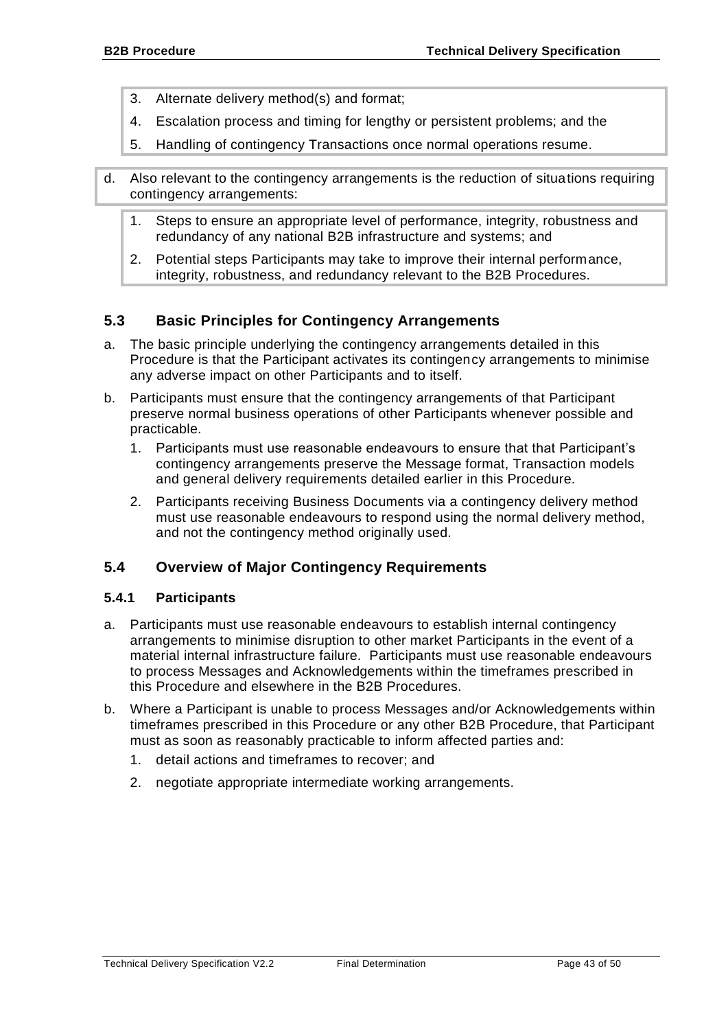- 3. Alternate delivery method(s) and format;
- 4. Escalation process and timing for lengthy or persistent problems; and the
- 5. Handling of contingency Transactions once normal operations resume.
- d. Also relevant to the contingency arrangements is the reduction of situations requiring contingency arrangements:
	- 1. Steps to ensure an appropriate level of performance, integrity, robustness and redundancy of any national B2B infrastructure and systems; and
	- 2. Potential steps Participants may take to improve their internal performance, integrity, robustness, and redundancy relevant to the B2B Procedures.

# <span id="page-42-0"></span>**5.3 Basic Principles for Contingency Arrangements**

- a. The basic principle underlying the contingency arrangements detailed in this Procedure is that the Participant activates its contingency arrangements to minimise any adverse impact on other Participants and to itself.
- b. Participants must ensure that the contingency arrangements of that Participant preserve normal business operations of other Participants whenever possible and practicable.
	- 1. Participants must use reasonable endeavours to ensure that that Participant's contingency arrangements preserve the Message format, Transaction models and general delivery requirements detailed earlier in this Procedure.
	- 2. Participants receiving Business Documents via a contingency delivery method must use reasonable endeavours to respond using the normal delivery method, and not the contingency method originally used.

# <span id="page-42-1"></span>**5.4 Overview of Major Contingency Requirements**

#### <span id="page-42-2"></span>**5.4.1 Participants**

- a. Participants must use reasonable endeavours to establish internal contingency arrangements to minimise disruption to other market Participants in the event of a material internal infrastructure failure. Participants must use reasonable endeavours to process Messages and Acknowledgements within the timeframes prescribed in this Procedure and elsewhere in the B2B Procedures.
- b. Where a Participant is unable to process Messages and/or Acknowledgements within timeframes prescribed in this Procedure or any other B2B Procedure, that Participant must as soon as reasonably practicable to inform affected parties and:
	- 1. detail actions and timeframes to recover; and
	- 2. negotiate appropriate intermediate working arrangements.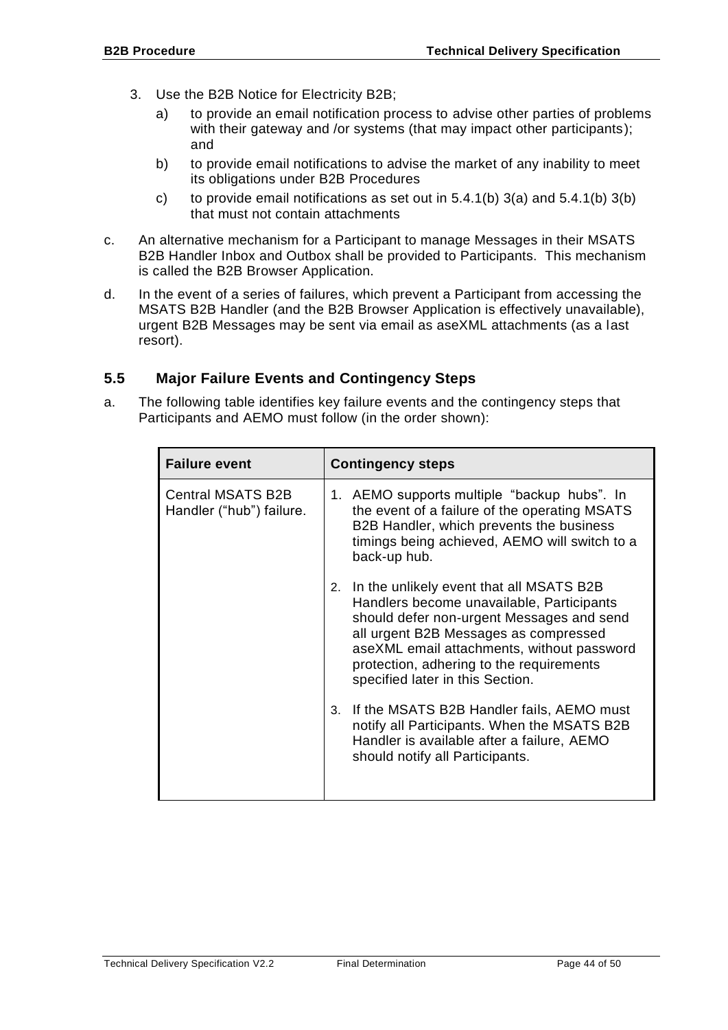- 3. Use the B2B Notice for Electricity B2B;
	- a) to provide an email notification process to advise other parties of problems with their gateway and /or systems (that may impact other participants); and
	- b) to provide email notifications to advise the market of any inability to meet its obligations under B2B Procedures
	- c) to provide email notifications as set out in  $5.4.1(b)$  3(a) and  $5.4.1(b)$  3(b) that must not contain attachments
- c. An alternative mechanism for a Participant to manage Messages in their MSATS B2B Handler Inbox and Outbox shall be provided to Participants. This mechanism is called the B2B Browser Application.
- d. In the event of a series of failures, which prevent a Participant from accessing the MSATS B2B Handler (and the B2B Browser Application is effectively unavailable), urgent B2B Messages may be sent via email as aseXML attachments (as a last resort).

# <span id="page-43-0"></span>**5.5 Major Failure Events and Contingency Steps**

a. The following table identifies key failure events and the contingency steps that Participants and AEMO must follow (in the order shown):

| <b>Failure event</b>                                 | <b>Contingency steps</b>                                                                                                                                                                                                                                                                                        |  |
|------------------------------------------------------|-----------------------------------------------------------------------------------------------------------------------------------------------------------------------------------------------------------------------------------------------------------------------------------------------------------------|--|
| <b>Central MSATS B2B</b><br>Handler ("hub") failure. | 1. AEMO supports multiple "backup hubs". In<br>the event of a failure of the operating MSATS<br>B2B Handler, which prevents the business<br>timings being achieved, AEMO will switch to a<br>back-up hub.                                                                                                       |  |
|                                                      | In the unlikely event that all MSATS B2B<br>2.<br>Handlers become unavailable, Participants<br>should defer non-urgent Messages and send<br>all urgent B2B Messages as compressed<br>aseXML email attachments, without password<br>protection, adhering to the requirements<br>specified later in this Section. |  |
|                                                      | 3. If the MSATS B2B Handler fails, AEMO must<br>notify all Participants. When the MSATS B2B<br>Handler is available after a failure, AEMO<br>should notify all Participants.                                                                                                                                    |  |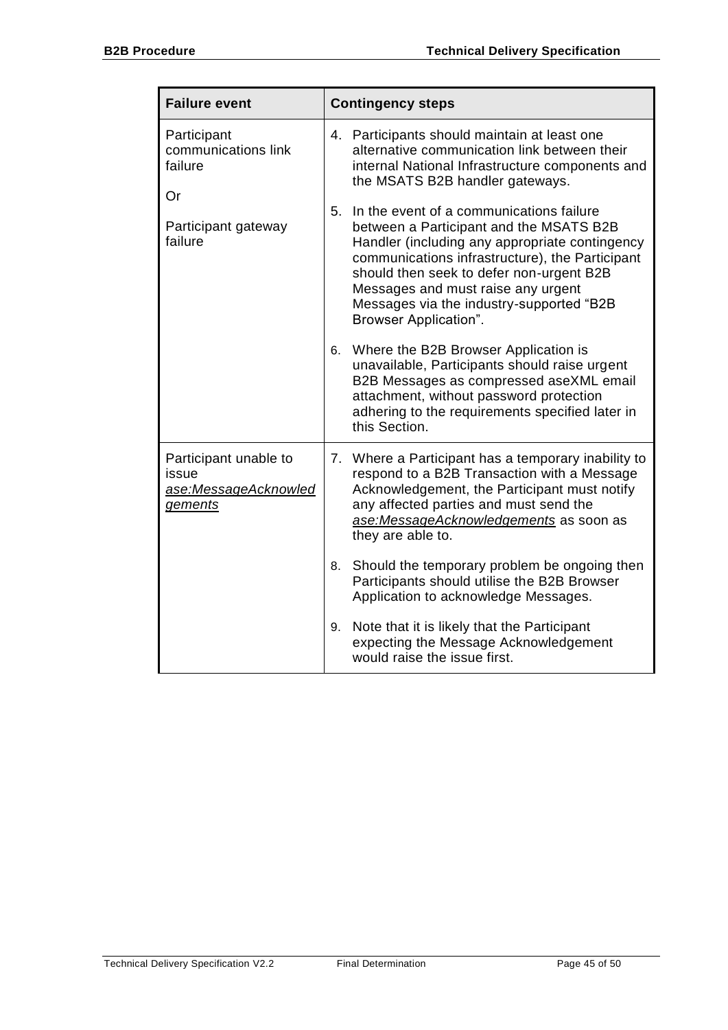| <b>Failure event</b>                                                     | <b>Contingency steps</b>                                                                                                                                                                                                                                                                                                                                                                            |  |
|--------------------------------------------------------------------------|-----------------------------------------------------------------------------------------------------------------------------------------------------------------------------------------------------------------------------------------------------------------------------------------------------------------------------------------------------------------------------------------------------|--|
| Participant<br>communications link<br>failure<br>Or                      | 4. Participants should maintain at least one<br>alternative communication link between their<br>internal National Infrastructure components and<br>the MSATS B2B handler gateways.                                                                                                                                                                                                                  |  |
| Participant gateway<br>failure                                           | In the event of a communications failure<br>5.<br>between a Participant and the MSATS B2B<br>Handler (including any appropriate contingency<br>communications infrastructure), the Participant<br>should then seek to defer non-urgent B2B<br>Messages and must raise any urgent<br>Messages via the industry-supported "B2B<br>Browser Application".<br>Where the B2B Browser Application is<br>6. |  |
|                                                                          | unavailable, Participants should raise urgent<br>B2B Messages as compressed aseXML email<br>attachment, without password protection<br>adhering to the requirements specified later in<br>this Section.                                                                                                                                                                                             |  |
| Participant unable to<br>issue<br>ase:MessageAcknowled<br><i>gements</i> | 7. Where a Participant has a temporary inability to<br>respond to a B2B Transaction with a Message<br>Acknowledgement, the Participant must notify<br>any affected parties and must send the<br>ase:MessageAcknowledgements as soon as<br>they are able to.                                                                                                                                         |  |
|                                                                          | Should the temporary problem be ongoing then<br>8.<br>Participants should utilise the B2B Browser<br>Application to acknowledge Messages.                                                                                                                                                                                                                                                           |  |
|                                                                          | Note that it is likely that the Participant<br>9.<br>expecting the Message Acknowledgement<br>would raise the issue first.                                                                                                                                                                                                                                                                          |  |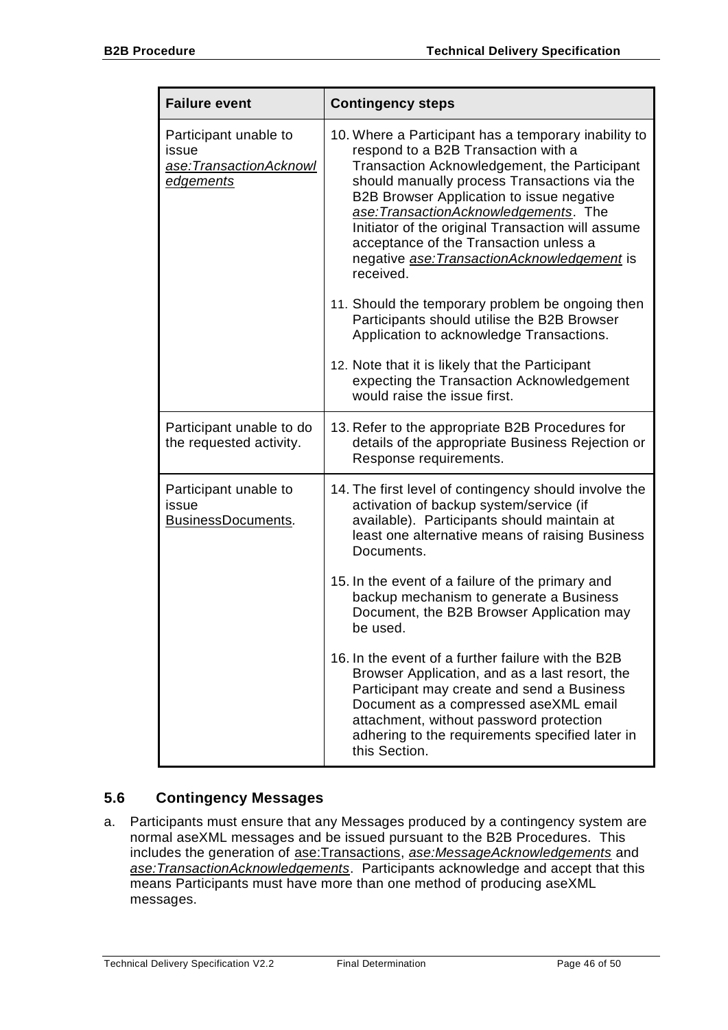| <b>Failure event</b>                                                         | <b>Contingency steps</b>                                                                                                                                                                                                                                                                                                                                                                                                                                                                                                                                                                                                                                                                      |  |
|------------------------------------------------------------------------------|-----------------------------------------------------------------------------------------------------------------------------------------------------------------------------------------------------------------------------------------------------------------------------------------------------------------------------------------------------------------------------------------------------------------------------------------------------------------------------------------------------------------------------------------------------------------------------------------------------------------------------------------------------------------------------------------------|--|
| Participant unable to<br>issue<br>ase:TransactionAcknowl<br><u>edgements</u> | 10. Where a Participant has a temporary inability to<br>respond to a B2B Transaction with a<br>Transaction Acknowledgement, the Participant<br>should manually process Transactions via the<br>B2B Browser Application to issue negative<br>ase: Transaction Acknowledgements. The<br>Initiator of the original Transaction will assume<br>acceptance of the Transaction unless a<br>negative ase: Transaction Acknowledgement is<br>received.<br>11. Should the temporary problem be ongoing then<br>Participants should utilise the B2B Browser<br>Application to acknowledge Transactions.<br>12. Note that it is likely that the Participant<br>expecting the Transaction Acknowledgement |  |
|                                                                              | would raise the issue first.                                                                                                                                                                                                                                                                                                                                                                                                                                                                                                                                                                                                                                                                  |  |
| Participant unable to do<br>the requested activity.                          | 13. Refer to the appropriate B2B Procedures for<br>details of the appropriate Business Rejection or<br>Response requirements.                                                                                                                                                                                                                                                                                                                                                                                                                                                                                                                                                                 |  |
| Participant unable to<br>issue<br>BusinessDocuments.                         | 14. The first level of contingency should involve the<br>activation of backup system/service (if<br>available). Participants should maintain at<br>least one alternative means of raising Business<br>Documents.                                                                                                                                                                                                                                                                                                                                                                                                                                                                              |  |
|                                                                              | 15. In the event of a failure of the primary and<br>backup mechanism to generate a Business<br>Document, the B2B Browser Application may<br>be used.                                                                                                                                                                                                                                                                                                                                                                                                                                                                                                                                          |  |
|                                                                              | 16. In the event of a further failure with the B2B<br>Browser Application, and as a last resort, the<br>Participant may create and send a Business<br>Document as a compressed aseXML email<br>attachment, without password protection<br>adhering to the requirements specified later in<br>this Section.                                                                                                                                                                                                                                                                                                                                                                                    |  |

# <span id="page-45-0"></span>**5.6 Contingency Messages**

a. Participants must ensure that any Messages produced by a contingency system are normal aseXML messages and be issued pursuant to the B2B Procedures. This includes the generation of ase:Transactions, *ase:MessageAcknowledgements* and *ase:TransactionAcknowledgements*. Participants acknowledge and accept that this means Participants must have more than one method of producing aseXML messages.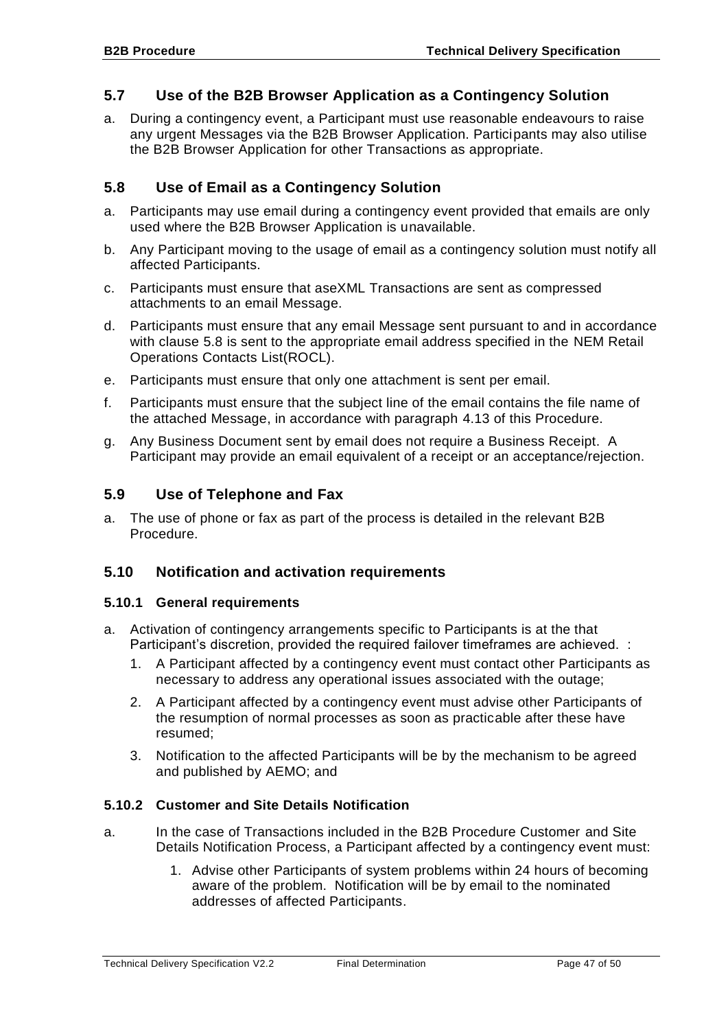# <span id="page-46-0"></span>**5.7 Use of the B2B Browser Application as a Contingency Solution**

a. During a contingency event, a Participant must use reasonable endeavours to raise any urgent Messages via the B2B Browser Application. Participants may also utilise the B2B Browser Application for other Transactions as appropriate.

# <span id="page-46-1"></span>**5.8 Use of Email as a Contingency Solution**

- a. Participants may use email during a contingency event provided that emails are only used where the B2B Browser Application is unavailable.
- b. Any Participant moving to the usage of email as a contingency solution must notify all affected Participants.
- c. Participants must ensure that aseXML Transactions are sent as compressed attachments to an email Message.
- d. Participants must ensure that any email Message sent pursuant to and in accordance with clause [5.8](#page-46-1) is sent to the appropriate email address specified in the NEM Retail Operations Contacts List(ROCL).
- e. Participants must ensure that only one attachment is sent per email.
- f. Participants must ensure that the subject line of the email contains the file name of the attached Message, in accordance with paragraph [4.13](#page-37-0) of this Procedure.
- g. Any Business Document sent by email does not require a Business Receipt. A Participant may provide an email equivalent of a receipt or an acceptance/rejection.

### <span id="page-46-2"></span>**5.9 Use of Telephone and Fax**

a. The use of phone or fax as part of the process is detailed in the relevant B2B Procedure.

## <span id="page-46-3"></span>**5.10 Notification and activation requirements**

#### <span id="page-46-4"></span>**5.10.1 General requirements**

- a. Activation of contingency arrangements specific to Participants is at the that Participant's discretion, provided the required failover timeframes are achieved. :
	- 1. A Participant affected by a contingency event must contact other Participants as necessary to address any operational issues associated with the outage;
	- 2. A Participant affected by a contingency event must advise other Participants of the resumption of normal processes as soon as practicable after these have resumed;
	- 3. Notification to the affected Participants will be by the mechanism to be agreed and published by AEMO; and

## <span id="page-46-5"></span>**5.10.2 Customer and Site Details Notification**

- a. In the case of Transactions included in the B2B Procedure Customer and Site Details Notification Process, a Participant affected by a contingency event must:
	- 1. Advise other Participants of system problems within 24 hours of becoming aware of the problem. Notification will be by email to the nominated addresses of affected Participants.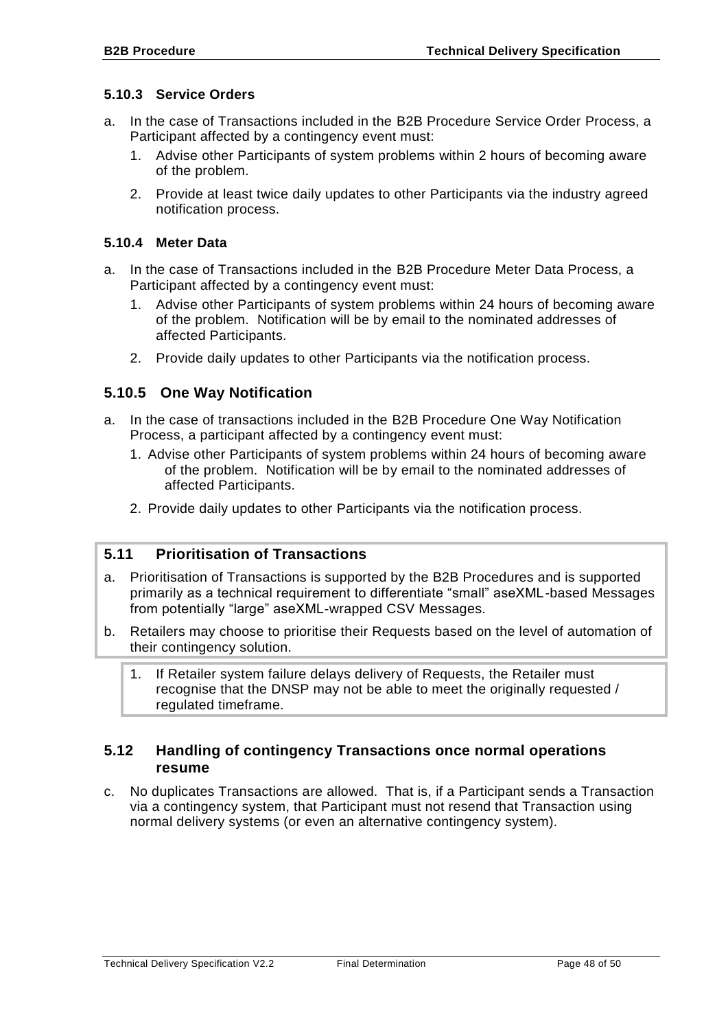#### <span id="page-47-0"></span>**5.10.3 Service Orders**

- a. In the case of Transactions included in the B2B Procedure Service Order Process, a Participant affected by a contingency event must:
	- 1. Advise other Participants of system problems within 2 hours of becoming aware of the problem.
	- 2. Provide at least twice daily updates to other Participants via the industry agreed notification process.

#### <span id="page-47-1"></span>**5.10.4 Meter Data**

- a. In the case of Transactions included in the B2B Procedure Meter Data Process, a Participant affected by a contingency event must:
	- 1. Advise other Participants of system problems within 24 hours of becoming aware of the problem. Notification will be by email to the nominated addresses of affected Participants.
	- 2. Provide daily updates to other Participants via the notification process.

# <span id="page-47-2"></span>**5.10.5 One Way Notification**

- a. In the case of transactions included in the B2B Procedure One Way Notification Process, a participant affected by a contingency event must:
	- 1. Advise other Participants of system problems within 24 hours of becoming aware of the problem. Notification will be by email to the nominated addresses of affected Participants.
	- 2. Provide daily updates to other Participants via the notification process.

#### <span id="page-47-3"></span>**5.11 Prioritisation of Transactions**

- a. Prioritisation of Transactions is supported by the B2B Procedures and is supported primarily as a technical requirement to differentiate "small" aseXML-based Messages from potentially "large" aseXML-wrapped CSV Messages.
- b. Retailers may choose to prioritise their Requests based on the level of automation of their contingency solution.
	- 1. If Retailer system failure delays delivery of Requests, the Retailer must recognise that the DNSP may not be able to meet the originally requested / regulated timeframe.

### <span id="page-47-4"></span>**5.12 Handling of contingency Transactions once normal operations resume**

c. No duplicates Transactions are allowed. That is, if a Participant sends a Transaction via a contingency system, that Participant must not resend that Transaction using normal delivery systems (or even an alternative contingency system).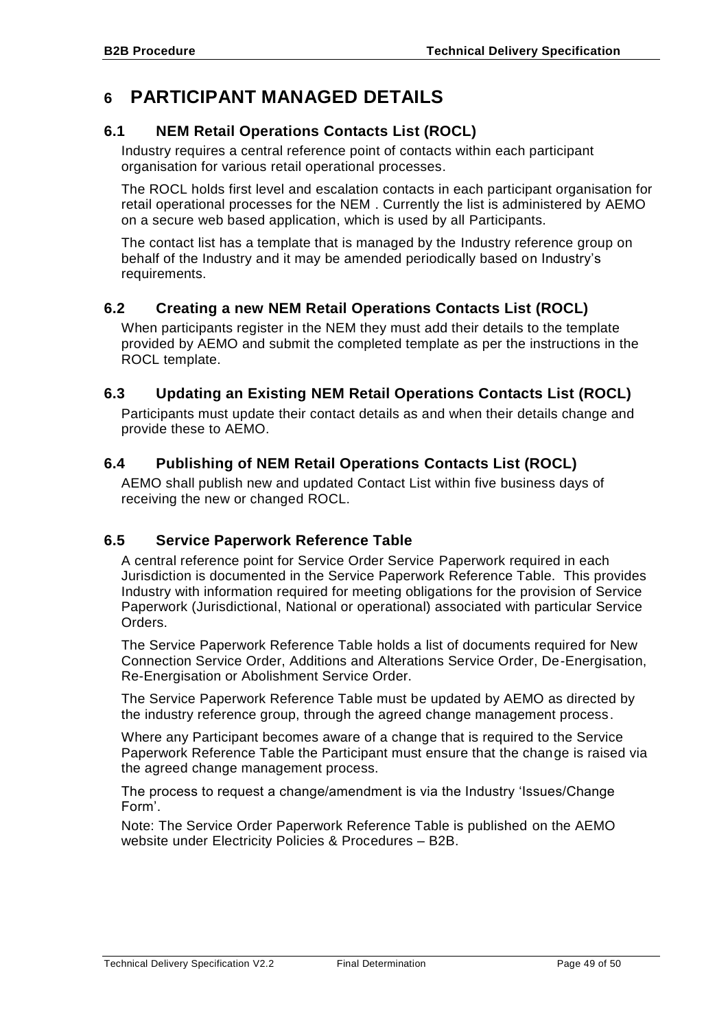# <span id="page-48-0"></span>**6 PARTICIPANT MANAGED DETAILS**

# <span id="page-48-1"></span>**6.1 NEM Retail Operations Contacts List (ROCL)**

Industry requires a central reference point of contacts within each participant organisation for various retail operational processes.

The ROCL holds first level and escalation contacts in each participant organisation for retail operational processes for the NEM . Currently the list is administered by AEMO on a secure web based application, which is used by all Participants.

The contact list has a template that is managed by the Industry reference group on behalf of the Industry and it may be amended periodically based on Industry's requirements.

# <span id="page-48-2"></span>**6.2 Creating a new NEM Retail Operations Contacts List (ROCL)**

When participants register in the NEM they must add their details to the template provided by AEMO and submit the completed template as per the instructions in the ROCL template.

# <span id="page-48-3"></span>**6.3 Updating an Existing NEM Retail Operations Contacts List (ROCL)**

Participants must update their contact details as and when their details change and provide these to AEMO.

# <span id="page-48-4"></span>**6.4 Publishing of NEM Retail Operations Contacts List (ROCL)**

AEMO shall publish new and updated Contact List within five business days of receiving the new or changed ROCL.

# <span id="page-48-5"></span>**6.5 Service Paperwork Reference Table**

A central reference point for Service Order Service Paperwork required in each Jurisdiction is documented in the Service Paperwork Reference Table. This provides Industry with information required for meeting obligations for the provision of Service Paperwork (Jurisdictional, National or operational) associated with particular Service Orders.

The Service Paperwork Reference Table holds a list of documents required for New Connection Service Order, Additions and Alterations Service Order, De-Energisation, Re-Energisation or Abolishment Service Order.

The Service Paperwork Reference Table must be updated by AEMO as directed by the industry reference group, through the agreed change management process.

Where any Participant becomes aware of a change that is required to the Service Paperwork Reference Table the Participant must ensure that the change is raised via the agreed change management process.

The process to request a change/amendment is via the Industry 'Issues/Change Form'.

Note: The Service Order Paperwork Reference Table is published on the AEMO website under Electricity Policies & Procedures – B2B.